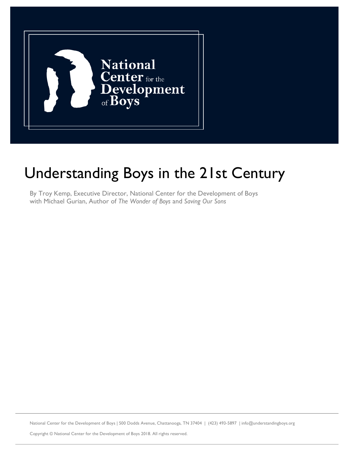

# Understanding Boys in the 21st Century

By Troy Kemp, Executive Director, National Center for the Development of Boys with Michael Gurian, Author of *The Wonder of Boys* and *Saving Our Sons*

National Center for the Development of Boys | 500 Dodds Avenue, Chattanooga, TN 37404 | (423) 493-5897 | info@understandingboys.org

Copyright © National Center for the Development of Boys 2018. All rights reserved.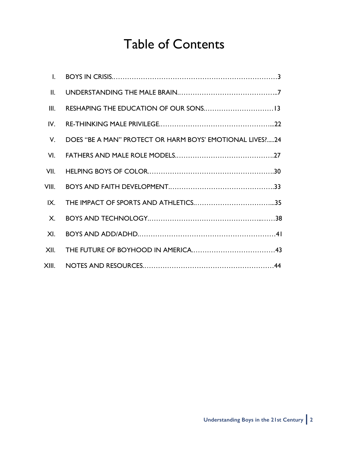# Table of Contents

| $\mathbf{II}$ . |                                                            |
|-----------------|------------------------------------------------------------|
| III.            |                                                            |
| IV.             |                                                            |
| $V_{\cdot}$     | DOES "BE A MAN" PROTECT OR HARM BOYS' EMOTIONAL LIVES ? 24 |
| VI.             |                                                            |
| VII.            |                                                            |
| VIII.           |                                                            |
| IX.             |                                                            |
| <b>X.</b>       |                                                            |
| XI.             |                                                            |
|                 |                                                            |
|                 |                                                            |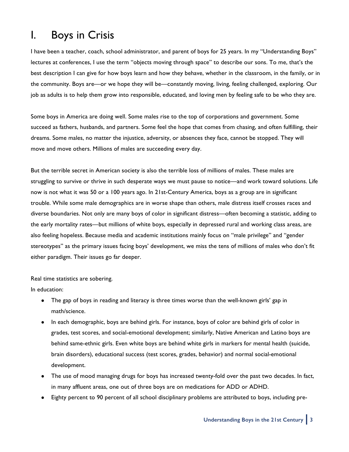### I. Boys in Crisis

I have been a teacher, coach, school administrator, and parent of boys for 25 years. In my "Understanding Boys" lectures at conferences, I use the term "objects moving through space" to describe our sons. To me, that's the best description I can give for how boys learn and how they behave, whether in the classroom, in the family, or in the community. Boys are—or we hope they will be—constantly moving, living, feeling challenged, exploring. Our job as adults is to help them grow into responsible, educated, and loving men by feeling safe to be who they are.

Some boys in America are doing well. Some males rise to the top of corporations and government. Some succeed as fathers, husbands, and partners. Some feel the hope that comes from chasing, and often fulfilling, their dreams. Some males, no matter the injustice, adversity, or absences they face, cannot be stopped. They will move and move others. Millions of males are succeeding every day.

But the terrible secret in American society is also the terrible loss of millions of males. These males are struggling to survive or thrive in such desperate ways we must pause to notice—and work toward solutions. Life now is not what it was 50 or a 100 years ago. In 21st-Century America, boys as a group are in significant trouble. While some male demographics are in worse shape than others, male distress itself crosses races and diverse boundaries. Not only are many boys of color in significant distress—often becoming a statistic, adding to the early mortality rates—but millions of white boys, especially in depressed rural and working class areas, are also feeling hopeless. Because media and academic institutions mainly focus on "male privilege" and "gender stereotypes" as the primary issues facing boys' development, we miss the tens of millions of males who don't fit either paradigm. Their issues go far deeper.

Real time statistics are sobering.

In education:

- The gap of boys in reading and literacy is three times worse than the well-known girls' gap in math/science.
- In each demographic, boys are behind girls. For instance, boys of color are behind girls of color in grades, test scores, and social-emotional development; similarly, Native American and Latino boys are behind same-ethnic girls. Even white boys are behind white girls in markers for mental health (suicide, brain disorders), educational success (test scores, grades, behavior) and normal social-emotional development.
- The use of mood managing drugs for boys has increased twenty-fold over the past two decades. In fact, in many affluent areas, one out of three boys are on medications for ADD or ADHD.
- Eighty percent to 90 percent of all school disciplinary problems are attributed to boys, including pre-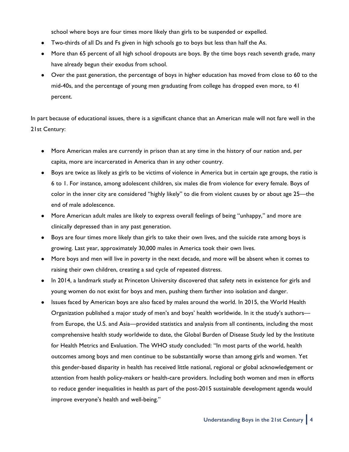school where boys are four times more likely than girls to be suspended or expelled.

- Two-thirds of all Ds and Fs given in high schools go to boys but less than half the As.
- More than 65 percent of all high school dropouts are boys. By the time boys reach seventh grade, many have already begun their exodus from school.
- Over the past generation, the percentage of boys in higher education has moved from close to 60 to the mid-40s, and the percentage of young men graduating from college has dropped even more, to 41 percent.

In part because of educational issues, there is a significant chance that an American male will not fare well in the 21st Century:

- More American males are currently in prison than at any time in the history of our nation and, per capita, more are incarcerated in America than in any other country.
- Boys are twice as likely as girls to be victims of violence in America but in certain age groups, the ratio is 6 to 1. For instance, among adolescent children, six males die from violence for every female. Boys of color in the inner city are considered "highly likely" to die from violent causes by or about age 25—the end of male adolescence.
- More American adult males are likely to express overall feelings of being "unhappy," and more are clinically depressed than in any past generation.
- Boys are four times more likely than girls to take their own lives, and the suicide rate among boys is growing. Last year, approximately 30,000 males in America took their own lives.
- More boys and men will live in poverty in the next decade, and more will be absent when it comes to raising their own children, creating a sad cycle of repeated distress.
- In 2014, a landmark study at Princeton University discovered that safety nets in existence for girls and young women do not exist for boys and men, pushing them farther into isolation and danger.
- Issues faced by American boys are also faced by males around the world. In 2015, the World Health Organization published a major study of men's and boys' health worldwide. In it the study's authors from Europe, the U.S. and Asia—provided statistics and analysis from all continents, including the most comprehensive health study worldwide to date, the Global Burden of Disease Study led by the Institute for Health Metrics and Evaluation. The WHO study concluded: "In most parts of the world, health outcomes among boys and men continue to be substantially worse than among girls and women. Yet this gender-based disparity in health has received little national, regional or global acknowledgement or attention from health policy-makers or health-care providers. Including both women and men in efforts to reduce gender inequalities in health as part of the post-2015 sustainable development agenda would improve everyone's health and well-being."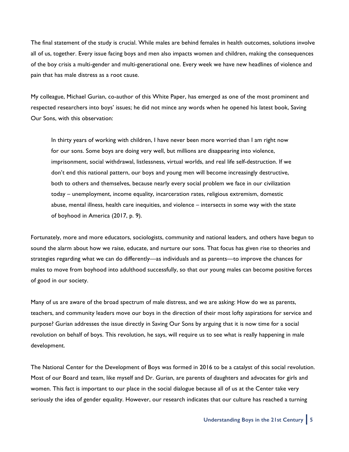The final statement of the study is crucial. While males are behind females in health outcomes, solutions involve all of us, together. Every issue facing boys and men also impacts women and children, making the consequences of the boy crisis a multi-gender and multi-generational one. Every week we have new headlines of violence and pain that has male distress as a root cause.

My colleague, Michael Gurian, co-author of this White Paper, has emerged as one of the most prominent and respected researchers into boys' issues; he did not mince any words when he opened his latest book, Saving Our Sons, with this observation:

In thirty years of working with children, I have never been more worried than I am right now for our sons. Some boys are doing very well, but millions are disappearing into violence, imprisonment, social withdrawal, listlessness, virtual worlds, and real life self-destruction. If we don't end this national pattern, our boys and young men will become increasingly destructive, both to others and themselves, because nearly every social problem we face in our civilization today – unemployment, income equality, incarceration rates, religious extremism, domestic abuse, mental illness, health care inequities, and violence – intersects in some way with the state of boyhood in America (2017, p. 9).

Fortunately, more and more educators, sociologists, community and national leaders, and others have begun to sound the alarm about how we raise, educate, and nurture our sons. That focus has given rise to theories and strategies regarding what we can do differently—as individuals and as parents—to improve the chances for males to move from boyhood into adulthood successfully, so that our young males can become positive forces of good in our society.

Many of us are aware of the broad spectrum of male distress, and we are asking: How do we as parents, teachers, and community leaders move our boys in the direction of their most lofty aspirations for service and purpose? Gurian addresses the issue directly in Saving Our Sons by arguing that it is now time for a social revolution on behalf of boys. This revolution, he says, will require us to see what is really happening in male development.

The National Center for the Development of Boys was formed in 2016 to be a catalyst of this social revolution. Most of our Board and team, like myself and Dr. Gurian, are parents of daughters and advocates for girls and women. This fact is important to our place in the social dialogue because all of us at the Center take very seriously the idea of gender equality. However, our research indicates that our culture has reached a turning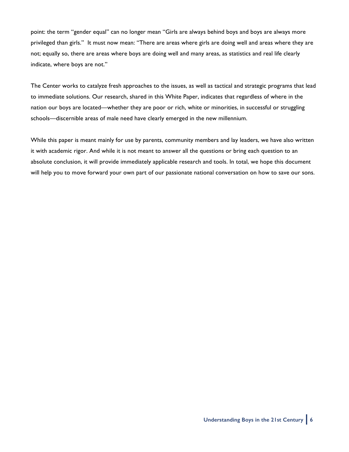point: the term "gender equal" can no longer mean "Girls are always behind boys and boys are always more privileged than girls." It must now mean: "There are areas where girls are doing well and areas where they are not; equally so, there are areas where boys are doing well and many areas, as statistics and real life clearly indicate, where boys are not."

The Center works to catalyze fresh approaches to the issues, as well as tactical and strategic programs that lead to immediate solutions. Our research, shared in this White Paper, indicates that regardless of where in the nation our boys are located—whether they are poor or rich, white or minorities, in successful or struggling schools—discernible areas of male need have clearly emerged in the new millennium.

While this paper is meant mainly for use by parents, community members and lay leaders, we have also written it with academic rigor. And while it is not meant to answer all the questions or bring each question to an absolute conclusion, it will provide immediately applicable research and tools. In total, we hope this document will help you to move forward your own part of our passionate national conversation on how to save our sons.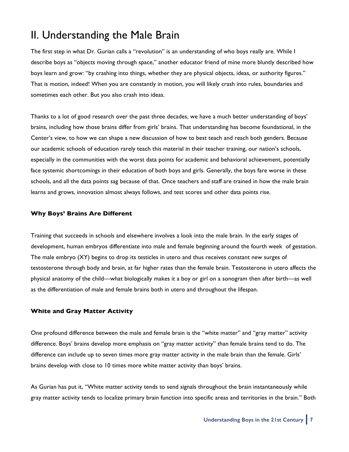### II. Understanding the Male Brain

The first step in what Dr. Gurian calls a "revolution" is an understanding of who boys really are. While I describe boys as "objects moving through space," another educator friend of mine more bluntly described how boys learn and grow: "by crashing into things, whether they are physical objects, ideas, or authority figures." That is motion, indeed! When you are constantly in motion, you will likely crash into rules, boundaries and sometimes each other. But you also crash into ideas.

Thanks to a lot of good research over the past three decades, we have a much better understanding of boys' brains, including how those brains differ from girls' brains. That understanding has become foundational, in the Center's view, to how we can shape a new discussion of how to best teach and reach both genders. Because our academic schools of education rarely teach this material in their teacher training, our nation's schools, especially in the communities with the worst data points for academic and behavioral achievement, potentially face systemic shortcomings in their education of both boys and girls. Generally, the boys fare worse in these schools, and all the data points sag because of that. Once teachers and staff are trained in how the male brain learns and grows, innovation almost always follows, and test scores and other data points rise.

### **Why Boys' Brains Are Different**

Training that succeeds in schools and elsewhere involves a look into the male brain. In the early stages of development, human embryos differentiate into male and female beginning around the fourth week of gestation. The male embryo (XY) begins to drop its testicles in utero and thus receives constant new surges of testosterone through body and brain, at far higher rates than the female brain. Testosterone in utero affects the physical anatomy of the child—what biologically makes it a boy or girl on a sonogram then after birth—as well as the differentiation of male and female brains both in utero and throughout the lifespan.

### **White and Gray Matter Activity**

One profound difference between the male and female brain is the "white matter" and "gray matter" activity difference. Boys' brains develop more emphasis on "gray matter activity" than female brains tend to do. The difference can include up to seven times more gray matter activity in the male brain than the female. Girls' brains develop with close to 10 times more white matter activity than boys' brains.

As Gurian has put it, "White matter activity tends to send signals throughout the brain instantaneously while gray matter activity tends to localize primary brain function into specific areas and territories in the brain." Both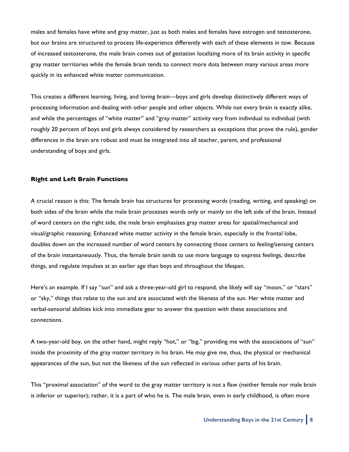males and females have white and gray matter, just as both males and females have estrogen and testosterone, but our brains are structured to process life-experience differently with each of these elements in tow. Because of increased testosterone, the male brain comes out of gestation localizing more of its brain activity in specific gray matter territories while the female brain tends to connect more dots between many various areas more quickly in its enhanced white matter communication.

This creates a different learning, living, and loving brain—boys and girls develop distinctively different ways of processing information and dealing with other people and other objects. While not every brain is exactly alike, and while the percentages of "white matter" and "gray matter" activity vary from individual to individual (with roughly 20 percent of boys and girls always considered by researchers as exceptions that prove the rule), gender differences in the brain are robust and must be integrated into all teacher, parent, and professional understanding of boys and girls.

#### **Right and Left Brain Functions**

A crucial reason is this: The female brain has structures for processing words (reading, writing, and speaking) on both sides of the brain while the male brain processes words only or mainly on the left side of the brain. Instead of word centers on the right side, the male brain emphasizes gray matter areas for spatial/mechanical and visual/graphic reasoning. Enhanced white matter activity in the female brain, especially in the frontal lobe, doubles down on the increased number of word centers by connecting those centers to feeling/sensing centers of the brain instantaneously. Thus, the female brain tends to use more language to express feelings, describe things, and regulate impulses at an earlier age than boys and throughout the lifespan.

Here's an example. If I say "sun" and ask a three-year-old girl to respond, she likely will say "moon," or "stars" or "sky," things that relate to the sun and are associated with the likeness of the sun. Her white matter and verbal-sensorial abilities kick into immediate gear to answer the question with these associations and connections.

A two-year-old boy, on the other hand, might reply "hot," or "big," providing me with the associations of "sun" inside the proximity of the gray matter territory in his brain. He may give me, thus, the physical or mechanical appearances of the sun, but not the likeness of the sun reflected in various other parts of his brain.

This "proximal association" of the word to the gray matter territory is not a flaw (neither female nor male brain is inferior or superior); rather, it is a part of who he is. The male brain, even in early childhood, is often more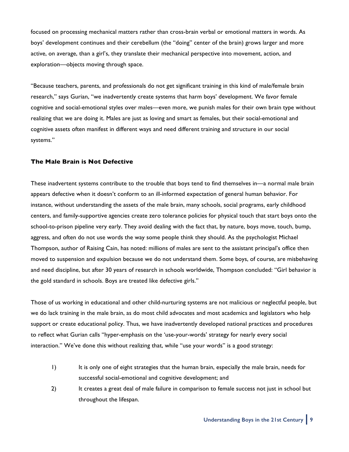focused on processing mechanical matters rather than cross-brain verbal or emotional matters in words. As boys' development continues and their cerebellum (the "doing" center of the brain) grows larger and more active, on average, than a girl's, they translate their mechanical perspective into movement, action, and exploration—objects moving through space.

"Because teachers, parents, and professionals do not get significant training in this kind of male/female brain research," says Gurian, "we inadvertently create systems that harm boys' development. We favor female cognitive and social-emotional styles over males—even more, we punish males for their own brain type without realizing that we are doing it. Males are just as loving and smart as females, but their social-emotional and cognitive assets often manifest in different ways and need different training and structure in our social systems."

#### **The Male Brain is Not Defective**

These inadvertent systems contribute to the trouble that boys tend to find themselves in—a normal male brain appears defective when it doesn't conform to an ill-informed expectation of general human behavior. For instance, without understanding the assets of the male brain, many schools, social programs, early childhood centers, and family-supportive agencies create zero tolerance policies for physical touch that start boys onto the school-to-prison pipeline very early. They avoid dealing with the fact that, by nature, boys move, touch, bump, aggress, and often do not use words the way some people think they should. As the psychologist Michael Thompson, author of Raising Cain, has noted: millions of males are sent to the assistant principal's office then moved to suspension and expulsion because we do not understand them. Some boys, of course, are misbehaving and need discipline, but after 30 years of research in schools worldwide, Thompson concluded: "Girl behavior is the gold standard in schools. Boys are treated like defective girls."

Those of us working in educational and other child-nurturing systems are not malicious or neglectful people, but we do lack training in the male brain, as do most child advocates and most academics and legislators who help support or create educational policy. Thus, we have inadvertently developed national practices and procedures to reflect what Gurian calls "hyper-emphasis on the 'use-your-words' strategy for nearly every social interaction." We've done this without realizing that, while "use your words" is a good strategy:

- 1) It is only one of eight strategies that the human brain, especially the male brain, needs for successful social-emotional and cognitive development; and
- 2) It creates a great deal of male failure in comparison to female success not just in school but throughout the lifespan.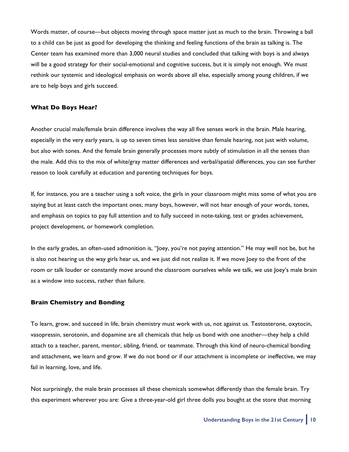Words matter, of course—but objects moving through space matter just as much to the brain. Throwing a ball to a child can be just as good for developing the thinking and feeling functions of the brain as talking is. The Center team has examined more than 3,000 neural studies and concluded that talking with boys is and always will be a good strategy for their social-emotional and cognitive success, but it is simply not enough. We must rethink our systemic and ideological emphasis on words above all else, especially among young children, if we are to help boys and girls succeed.

#### **What Do Boys Hear?**

Another crucial male/female brain difference involves the way all five senses work in the brain. Male hearing, especially in the very early years, is up to seven times less sensitive than female hearing, not just with volume, but also with tones. And the female brain generally processes more subtly of stimulation in all the senses than the male. Add this to the mix of white/gray matter differences and verbal/spatial differences, you can see further reason to look carefully at education and parenting techniques for boys.

If, for instance, you are a teacher using a soft voice, the girls in your classroom might miss some of what you are saying but at least catch the important ones; many boys, however, will not hear enough of your words, tones, and emphasis on topics to pay full attention and to fully succeed in note-taking, test or grades achievement, project development, or homework completion.

In the early grades, an often-used admonition is, "Joey, you're not paying attention." He may well not be, but he is also not hearing us the way girls hear us, and we just did not realize it. If we move Joey to the front of the room or talk louder or constantly move around the classroom ourselves while we talk, we use Joey's male brain as a window into success, rather than failure.

#### **Brain Chemistry and Bonding**

To learn, grow, and succeed in life, brain chemistry must work with us, not against us. Testosterone, oxytocin, vasopressin, serotonin, and dopamine are all chemicals that help us bond with one another—they help a child attach to a teacher, parent, mentor, sibling, friend, or teammate. Through this kind of neuro-chemical bonding and attachment, we learn and grow. If we do not bond or if our attachment is incomplete or ineffective, we may fail in learning, love, and life.

Not surprisingly, the male brain processes all these chemicals somewhat differently than the female brain. Try this experiment wherever you are: Give a three-year-old girl three dolls you bought at the store that morning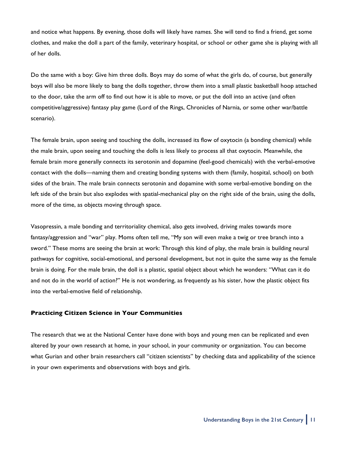and notice what happens. By evening, those dolls will likely have names. She will tend to find a friend, get some clothes, and make the doll a part of the family, veterinary hospital, or school or other game she is playing with all of her dolls.

Do the same with a boy: Give him three dolls. Boys may do some of what the girls do, of course, but generally boys will also be more likely to bang the dolls together, throw them into a small plastic basketball hoop attached to the door, take the arm off to find out how it is able to move, or put the doll into an active (and often competitive/aggressive) fantasy play game (Lord of the Rings, Chronicles of Narnia, or some other war/battle scenario).

The female brain, upon seeing and touching the dolls, increased its flow of oxytocin (a bonding chemical) while the male brain, upon seeing and touching the dolls is less likely to process all that oxytocin. Meanwhile, the female brain more generally connects its serotonin and dopamine (feel-good chemicals) with the verbal-emotive contact with the dolls—naming them and creating bonding systems with them (family, hospital, school) on both sides of the brain. The male brain connects serotonin and dopamine with some verbal-emotive bonding on the left side of the brain but also explodes with spatial-mechanical play on the right side of the brain, using the dolls, more of the time, as objects moving through space.

Vasopressin, a male bonding and territoriality chemical, also gets involved, driving males towards more fantasy/aggression and "war" play. Moms often tell me, "My son will even make a twig or tree branch into a sword." These moms are seeing the brain at work: Through this kind of play, the male brain is building neural pathways for cognitive, social-emotional, and personal development, but not in quite the same way as the female brain is doing. For the male brain, the doll is a plastic, spatial object about which he wonders: "What can it do and not do in the world of action?" He is not wondering, as frequently as his sister, how the plastic object fits into the verbal-emotive field of relationship.

#### **Practicing Citizen Science in Your Communities**

The research that we at the National Center have done with boys and young men can be replicated and even altered by your own research at home, in your school, in your community or organization. You can become what Gurian and other brain researchers call "citizen scientists" by checking data and applicability of the science in your own experiments and observations with boys and girls.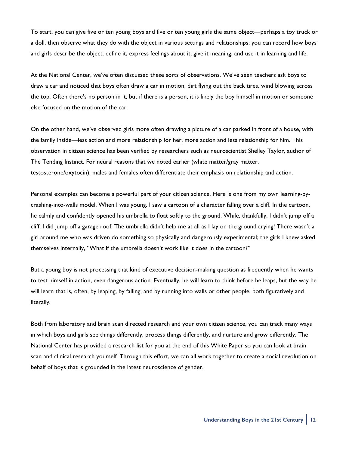To start, you can give five or ten young boys and five or ten young girls the same object—perhaps a toy truck or a doll, then observe what they do with the object in various settings and relationships; you can record how boys and girls describe the object, define it, express feelings about it, give it meaning, and use it in learning and life.

At the National Center, we've often discussed these sorts of observations. We've seen teachers ask boys to draw a car and noticed that boys often draw a car in motion, dirt flying out the back tires, wind blowing across the top. Often there's no person in it, but if there is a person, it is likely the boy himself in motion or someone else focused on the motion of the car.

On the other hand, we've observed girls more often drawing a picture of a car parked in front of a house, with the family inside—less action and more relationship for her, more action and less relationship for him. This observation in citizen science has been verified by researchers such as neuroscientist Shelley Taylor, author of The Tending Instinct. For neural reasons that we noted earlier (white matter/gray matter, testosterone/oxytocin), males and females often differentiate their emphasis on relationship and action.

Personal examples can become a powerful part of your citizen science. Here is one from my own learning-bycrashing-into-walls model. When I was young, I saw a cartoon of a character falling over a cliff. In the cartoon, he calmly and confidently opened his umbrella to float softly to the ground. While, thankfully, I didn't jump off a cliff, I did jump off a garage roof. The umbrella didn't help me at all as I lay on the ground crying! There wasn't a girl around me who was driven do something so physically and dangerously experimental; the girls I knew asked themselves internally, "What if the umbrella doesn't work like it does in the cartoon?"

But a young boy is not processing that kind of executive decision-making question as frequently when he wants to test himself in action, even dangerous action. Eventually, he will learn to think before he leaps, but the way he will learn that is, often, by leaping, by falling, and by running into walls or other people, both figuratively and literally.

Both from laboratory and brain scan directed research and your own citizen science, you can track many ways in which boys and girls see things differently, process things differently, and nurture and grow differently. The National Center has provided a research list for you at the end of this White Paper so you can look at brain scan and clinical research yourself. Through this effort, we can all work together to create a social revolution on behalf of boys that is grounded in the latest neuroscience of gender.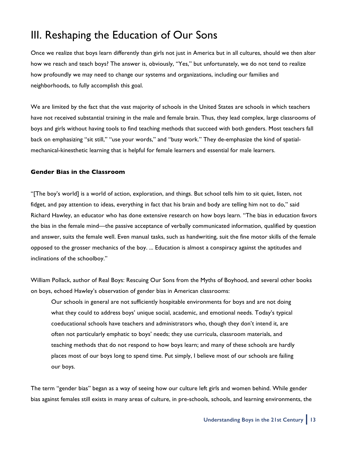### III. Reshaping the Education of Our Sons

Once we realize that boys learn differently than girls not just in America but in all cultures, should we then alter how we reach and teach boys? The answer is, obviously, "Yes," but unfortunately, we do not tend to realize how profoundly we may need to change our systems and organizations, including our families and neighborhoods, to fully accomplish this goal.

We are limited by the fact that the vast majority of schools in the United States are schools in which teachers have not received substantial training in the male and female brain. Thus, they lead complex, large classrooms of boys and girls without having tools to find teaching methods that succeed with both genders. Most teachers fall back on emphasizing "sit still," "use your words," and "busy work." They de-emphasize the kind of spatialmechanical-kinesthetic learning that is helpful for female learners and essential for male learners.

#### **Gender Bias in the Classroom**

"[The boy's world] is a world of action, exploration, and things. But school tells him to sit quiet, listen, not fidget, and pay attention to ideas, everything in fact that his brain and body are telling him not to do," said Richard Hawley, an educator who has done extensive research on how boys learn. "The bias in education favors the bias in the female mind—the passive acceptance of verbally communicated information, qualified by question and answer, suits the female well. Even manual tasks, such as handwriting, suit the fine motor skills of the female opposed to the grosser mechanics of the boy. ... Education is almost a conspiracy against the aptitudes and inclinations of the schoolboy."

William Pollack, author of Real Boys: Rescuing Our Sons from the Myths of Boyhood, and several other books on boys, echoed Hawley's observation of gender bias in American classrooms:

Our schools in general are not sufficiently hospitable environments for boys and are not doing what they could to address boys' unique social, academic, and emotional needs. Today's typical coeducational schools have teachers and administrators who, though they don't intend it, are often not particularly emphatic to boys' needs; they use curricula, classroom materials, and teaching methods that do not respond to how boys learn; and many of these schools are hardly places most of our boys long to spend time. Put simply, I believe most of our schools are failing our boys.

The term "gender bias" began as a way of seeing how our culture left girls and women behind. While gender bias against females still exists in many areas of culture, in pre-schools, schools, and learning environments, the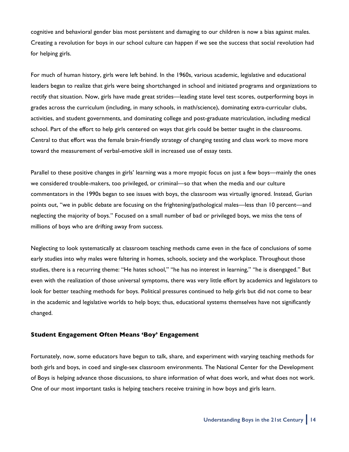cognitive and behavioral gender bias most persistent and damaging to our children is now a bias against males. Creating a revolution for boys in our school culture can happen if we see the success that social revolution had for helping girls.

For much of human history, girls were left behind. In the 1960s, various academic, legislative and educational leaders began to realize that girls were being shortchanged in school and initiated programs and organizations to rectify that situation. Now, girls have made great strides—leading state level test scores, outperforming boys in grades across the curriculum (including, in many schools, in math/science), dominating extra-curricular clubs, activities, and student governments, and dominating college and post-graduate matriculation, including medical school. Part of the effort to help girls centered on ways that girls could be better taught in the classrooms. Central to that effort was the female brain-friendly strategy of changing testing and class work to move more toward the measurement of verbal-emotive skill in increased use of essay tests.

Parallel to these positive changes in girls' learning was a more myopic focus on just a few boys—mainly the ones we considered trouble-makers, too privileged, or criminal—so that when the media and our culture commentators in the 1990s began to see issues with boys, the classroom was virtually ignored. Instead, Gurian points out, "we in public debate are focusing on the frightening/pathological males—less than 10 percent—and neglecting the majority of boys." Focused on a small number of bad or privileged boys, we miss the tens of millions of boys who are drifting away from success.

Neglecting to look systematically at classroom teaching methods came even in the face of conclusions of some early studies into why males were faltering in homes, schools, society and the workplace. Throughout those studies, there is a recurring theme: "He hates school," "he has no interest in learning," "he is disengaged." But even with the realization of those universal symptoms, there was very little effort by academics and legislators to look for better teaching methods for boys. Political pressures continued to help girls but did not come to bear in the academic and legislative worlds to help boys; thus, educational systems themselves have not significantly changed.

#### **Student Engagement Often Means 'Boy' Engagement**

Fortunately, now, some educators have begun to talk, share, and experiment with varying teaching methods for both girls and boys, in coed and single-sex classroom environments. The National Center for the Development of Boys is helping advance those discussions, to share information of what does work, and what does not work. One of our most important tasks is helping teachers receive training in how boys and girls learn.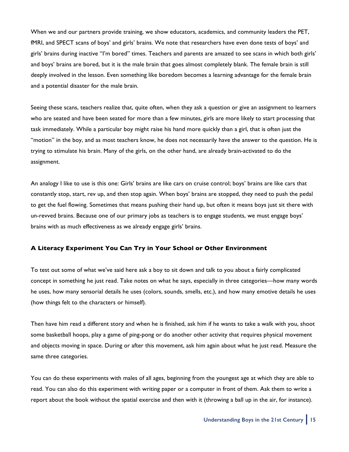When we and our partners provide training, we show educators, academics, and community leaders the PET, fMRI, and SPECT scans of boys' and girls' brains. We note that researchers have even done tests of boys' and girls' brains during inactive "I'm bored" times. Teachers and parents are amazed to see scans in which both girls' and boys' brains are bored, but it is the male brain that goes almost completely blank. The female brain is still deeply involved in the lesson. Even something like boredom becomes a learning advantage for the female brain and a potential disaster for the male brain.

Seeing these scans, teachers realize that, quite often, when they ask a question or give an assignment to learners who are seated and have been seated for more than a few minutes, girls are more likely to start processing that task immediately. While a particular boy might raise his hand more quickly than a girl, that is often just the "motion" in the boy, and as most teachers know, he does not necessarily have the answer to the question. He is trying to stimulate his brain. Many of the girls, on the other hand, are already brain-activated to do the assignment.

An analogy I like to use is this one: Girls' brains are like cars on cruise control; boys' brains are like cars that constantly stop, start, rev up, and then stop again. When boys' brains are stopped, they need to push the pedal to get the fuel flowing. Sometimes that means pushing their hand up, but often it means boys just sit there with un-revved brains. Because one of our primary jobs as teachers is to engage students, we must engage boys' brains with as much effectiveness as we already engage girls' brains.

#### **A Literacy Experiment You Can Try in Your School or Other Environment**

To test out some of what we've said here ask a boy to sit down and talk to you about a fairly complicated concept in something he just read. Take notes on what he says, especially in three categories—how many words he uses, how many sensorial details he uses (colors, sounds, smells, etc.), and how many emotive details he uses (how things felt to the characters or himself).

Then have him read a different story and when he is finished, ask him if he wants to take a walk with you, shoot some basketball hoops, play a game of ping-pong or do another other activity that requires physical movement and objects moving in space. During or after this movement, ask him again about what he just read. Measure the same three categories.

You can do these experiments with males of all ages, beginning from the youngest age at which they are able to read. You can also do this experiment with writing paper or a computer in front of them. Ask them to write a report about the book without the spatial exercise and then with it (throwing a ball up in the air, for instance).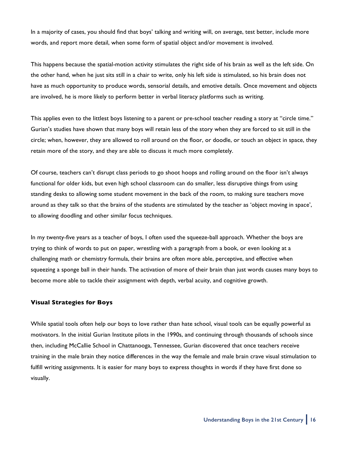In a majority of cases, you should find that boys' talking and writing will, on average, test better, include more words, and report more detail, when some form of spatial object and/or movement is involved.

This happens because the spatial-motion activity stimulates the right side of his brain as well as the left side. On the other hand, when he just sits still in a chair to write, only his left side is stimulated, so his brain does not have as much opportunity to produce words, sensorial details, and emotive details. Once movement and objects are involved, he is more likely to perform better in verbal literacy platforms such as writing.

This applies even to the littlest boys listening to a parent or pre-school teacher reading a story at "circle time." Gurian's studies have shown that many boys will retain less of the story when they are forced to sit still in the circle; when, however, they are allowed to roll around on the floor, or doodle, or touch an object in space, they retain more of the story, and they are able to discuss it much more completely.

Of course, teachers can't disrupt class periods to go shoot hoops and rolling around on the floor isn't always functional for older kids, but even high school classroom can do smaller, less disruptive things from using standing desks to allowing some student movement in the back of the room, to making sure teachers move around as they talk so that the brains of the students are stimulated by the teacher as 'object moving in space', to allowing doodling and other similar focus techniques.

In my twenty-five years as a teacher of boys, I often used the squeeze-ball approach. Whether the boys are trying to think of words to put on paper, wrestling with a paragraph from a book, or even looking at a challenging math or chemistry formula, their brains are often more able, perceptive, and effective when squeezing a sponge ball in their hands. The activation of more of their brain than just words causes many boys to become more able to tackle their assignment with depth, verbal acuity, and cognitive growth.

#### **Visual Strategies for Boys**

While spatial tools often help our boys to love rather than hate school, visual tools can be equally powerful as motivators. In the initial Gurian Institute pilots in the 1990s, and continuing through thousands of schools since then, including McCallie School in Chattanooga, Tennessee, Gurian discovered that once teachers receive training in the male brain they notice differences in the way the female and male brain crave visual stimulation to fulfill writing assignments. It is easier for many boys to express thoughts in words if they have first done so visually.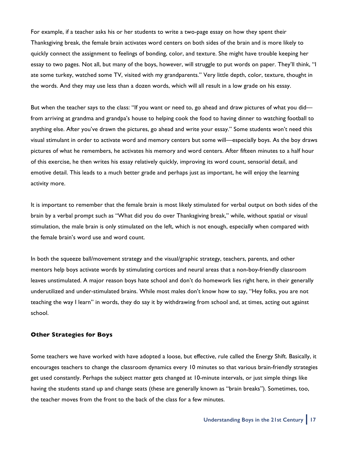For example, if a teacher asks his or her students to write a two-page essay on how they spent their Thanksgiving break, the female brain activates word centers on both sides of the brain and is more likely to quickly connect the assignment to feelings of bonding, color, and texture. She might have trouble keeping her essay to two pages. Not all, but many of the boys, however, will struggle to put words on paper. They'll think, "I ate some turkey, watched some TV, visited with my grandparents." Very little depth, color, texture, thought in the words. And they may use less than a dozen words, which will all result in a low grade on his essay.

But when the teacher says to the class: "If you want or need to, go ahead and draw pictures of what you did from arriving at grandma and grandpa's house to helping cook the food to having dinner to watching football to anything else. After you've drawn the pictures, go ahead and write your essay." Some students won't need this visual stimulant in order to activate word and memory centers but some will—especially boys. As the boy draws pictures of what he remembers, he activates his memory and word centers. After fifteen minutes to a half hour of this exercise, he then writes his essay relatively quickly, improving its word count, sensorial detail, and emotive detail. This leads to a much better grade and perhaps just as important, he will enjoy the learning activity more.

It is important to remember that the female brain is most likely stimulated for verbal output on both sides of the brain by a verbal prompt such as "What did you do over Thanksgiving break," while, without spatial or visual stimulation, the male brain is only stimulated on the left, which is not enough, especially when compared with the female brain's word use and word count.

In both the squeeze ball/movement strategy and the visual/graphic strategy, teachers, parents, and other mentors help boys activate words by stimulating cortices and neural areas that a non-boy-friendly classroom leaves unstimulated. A major reason boys hate school and don't do homework lies right here, in their generally underutilized and under-stimulated brains. While most males don't know how to say, "Hey folks, you are not teaching the way I learn" in words, they do say it by withdrawing from school and, at times, acting out against school.

#### **Other Strategies for Boys**

Some teachers we have worked with have adopted a loose, but effective, rule called the Energy Shift. Basically, it encourages teachers to change the classroom dynamics every 10 minutes so that various brain-friendly strategies get used constantly. Perhaps the subject matter gets changed at 10-minute intervals, or just simple things like having the students stand up and change seats (these are generally known as "brain breaks"). Sometimes, too, the teacher moves from the front to the back of the class for a few minutes.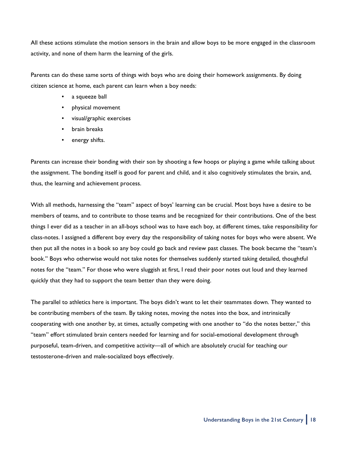All these actions stimulate the motion sensors in the brain and allow boys to be more engaged in the classroom activity, and none of them harm the learning of the girls.

Parents can do these same sorts of things with boys who are doing their homework assignments. By doing citizen science at home, each parent can learn when a boy needs:

- a squeeze ball
- physical movement
- visual/graphic exercises
- brain breaks
- energy shifts.

Parents can increase their bonding with their son by shooting a few hoops or playing a game while talking about the assignment. The bonding itself is good for parent and child, and it also cognitively stimulates the brain, and, thus, the learning and achievement process.

With all methods, harnessing the "team" aspect of boys' learning can be crucial. Most boys have a desire to be members of teams, and to contribute to those teams and be recognized for their contributions. One of the best things I ever did as a teacher in an all-boys school was to have each boy, at different times, take responsibility for class-notes. I assigned a different boy every day the responsibility of taking notes for boys who were absent. We then put all the notes in a book so any boy could go back and review past classes. The book became the "team's book." Boys who otherwise would not take notes for themselves suddenly started taking detailed, thoughtful notes for the "team." For those who were sluggish at first, I read their poor notes out loud and they learned quickly that they had to support the team better than they were doing.

The parallel to athletics here is important. The boys didn't want to let their teammates down. They wanted to be contributing members of the team. By taking notes, moving the notes into the box, and intrinsically cooperating with one another by, at times, actually competing with one another to "do the notes better," this "team" effort stimulated brain centers needed for learning and for social-emotional development through purposeful, team-driven, and competitive activity—all of which are absolutely crucial for teaching our testosterone-driven and male-socialized boys effectively.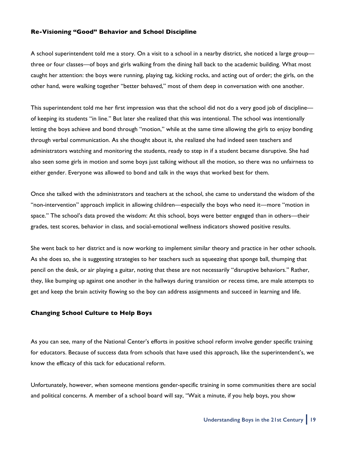#### **Re-Visioning "Good" Behavior and School Discipline**

A school superintendent told me a story. On a visit to a school in a nearby district, she noticed a large group three or four classes—of boys and girls walking from the dining hall back to the academic building. What most caught her attention: the boys were running, playing tag, kicking rocks, and acting out of order; the girls, on the other hand, were walking together "better behaved," most of them deep in conversation with one another.

This superintendent told me her first impression was that the school did not do a very good job of discipline of keeping its students "in line." But later she realized that this was intentional. The school was intentionally letting the boys achieve and bond through "motion," while at the same time allowing the girls to enjoy bonding through verbal communication. As she thought about it, she realized she had indeed seen teachers and administrators watching and monitoring the students, ready to step in if a student became disruptive. She had also seen some girls in motion and some boys just talking without all the motion, so there was no unfairness to either gender. Everyone was allowed to bond and talk in the ways that worked best for them.

Once she talked with the administrators and teachers at the school, she came to understand the wisdom of the "non-intervention" approach implicit in allowing children—especially the boys who need it—more "motion in space." The school's data proved the wisdom: At this school, boys were better engaged than in others—their grades, test scores, behavior in class, and social-emotional wellness indicators showed positive results.

She went back to her district and is now working to implement similar theory and practice in her other schools. As she does so, she is suggesting strategies to her teachers such as squeezing that sponge ball, thumping that pencil on the desk, or air playing a guitar, noting that these are not necessarily "disruptive behaviors." Rather, they, like bumping up against one another in the hallways during transition or recess time, are male attempts to get and keep the brain activity flowing so the boy can address assignments and succeed in learning and life.

#### **Changing School Culture to Help Boys**

As you can see, many of the National Center's efforts in positive school reform involve gender specific training for educators. Because of success data from schools that have used this approach, like the superintendent's, we know the efficacy of this tack for educational reform.

Unfortunately, however, when someone mentions gender-specific training in some communities there are social and political concerns. A member of a school board will say, "Wait a minute, if you help boys, you show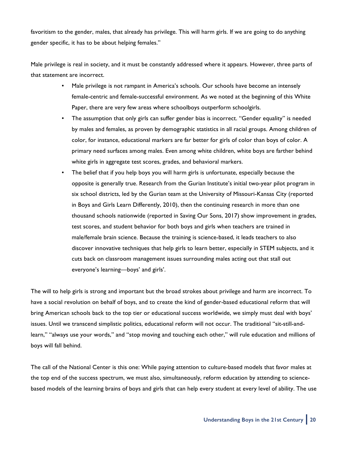favoritism to the gender, males, that already has privilege. This will harm girls. If we are going to do anything gender specific, it has to be about helping females."

Male privilege is real in society, and it must be constantly addressed where it appears. However, three parts of that statement are incorrect.

- Male privilege is not rampant in America's schools. Our schools have become an intensely female-centric and female-successful environment. As we noted at the beginning of this White Paper, there are very few areas where schoolboys outperform schoolgirls.
- The assumption that only girls can suffer gender bias is incorrect. "Gender equality" is needed by males and females, as proven by demographic statistics in all racial groups. Among children of color, for instance, educational markers are far better for girls of color than boys of color. A primary need surfaces among males. Even among white children, white boys are farther behind white girls in aggregate test scores, grades, and behavioral markers.
- The belief that if you help boys you will harm girls is unfortunate, especially because the opposite is generally true. Research from the Gurian Institute's initial two-year pilot program in six school districts, led by the Gurian team at the University of Missouri-Kansas City (reported in Boys and Girls Learn Differently, 2010), then the continuing research in more than one thousand schools nationwide (reported in Saving Our Sons, 2017) show improvement in grades, test scores, and student behavior for both boys and girls when teachers are trained in male/female brain science. Because the training is science-based, it leads teachers to also discover innovative techniques that help girls to learn better, especially in STEM subjects, and it cuts back on classroom management issues surrounding males acting out that stall out everyone's learning—boys' and girls'.

The will to help girls is strong and important but the broad strokes about privilege and harm are incorrect. To have a social revolution on behalf of boys, and to create the kind of gender-based educational reform that will bring American schools back to the top tier or educational success worldwide, we simply must deal with boys' issues. Until we transcend simplistic politics, educational reform will not occur. The traditional "sit-still-andlearn," "always use your words," and "stop moving and touching each other," will rule education and millions of boys will fall behind.

The call of the National Center is this one: While paying attention to culture-based models that favor males at the top end of the success spectrum, we must also, simultaneously, reform education by attending to sciencebased models of the learning brains of boys and girls that can help every student at every level of ability. The use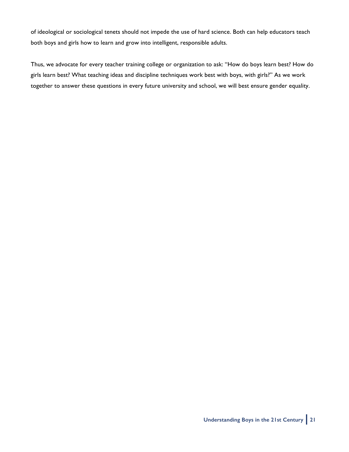of ideological or sociological tenets should not impede the use of hard science. Both can help educators teach both boys and girls how to learn and grow into intelligent, responsible adults.

Thus, we advocate for every teacher training college or organization to ask: "How do boys learn best? How do girls learn best? What teaching ideas and discipline techniques work best with boys, with girls?" As we work together to answer these questions in every future university and school, we will best ensure gender equality.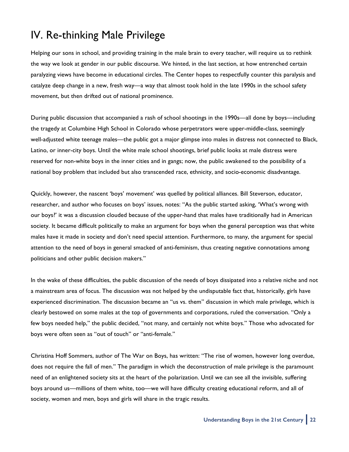## IV. Re-thinking Male Privilege

Helping our sons in school, and providing training in the male brain to every teacher, will require us to rethink the way we look at gender in our public discourse. We hinted, in the last section, at how entrenched certain paralyzing views have become in educational circles. The Center hopes to respectfully counter this paralysis and catalyze deep change in a new, fresh way—a way that almost took hold in the late 1990s in the school safety movement, but then drifted out of national prominence.

During public discussion that accompanied a rash of school shootings in the 1990s—all done by boys—including the tragedy at Columbine High School in Colorado whose perpetrators were upper-middle-class, seemingly well-adjusted white teenage males—the public got a major glimpse into males in distress not connected to Black, Latino, or inner-city boys. Until the white male school shootings, brief public looks at male distress were reserved for non-white boys in the inner cities and in gangs; now, the public awakened to the possibility of a national boy problem that included but also transcended race, ethnicity, and socio-economic disadvantage.

Quickly, however, the nascent 'boys' movement' was quelled by political alliances. Bill Steverson, educator, researcher, and author who focuses on boys' issues, notes: "As the public started asking, 'What's wrong with our boys?' it was a discussion clouded because of the upper-hand that males have traditionally had in American society. It became difficult politically to make an argument for boys when the general perception was that white males have it made in society and don't need special attention. Furthermore, to many, the argument for special attention to the need of boys in general smacked of anti-feminism, thus creating negative connotations among politicians and other public decision makers."

In the wake of these difficulties, the public discussion of the needs of boys dissipated into a relative niche and not a mainstream area of focus. The discussion was not helped by the undisputable fact that, historically, girls have experienced discrimination. The discussion became an "us vs. them" discussion in which male privilege, which is clearly bestowed on some males at the top of governments and corporations, ruled the conversation. "Only a few boys needed help," the public decided, "not many, and certainly not white boys." Those who advocated for boys were often seen as "out of touch" or "anti-female."

Christina Hoff Sommers, author of The War on Boys, has written: "The rise of women, however long overdue, does not require the fall of men." The paradigm in which the deconstruction of male privilege is the paramount need of an enlightened society sits at the heart of the polarization. Until we can see all the invisible, suffering boys around us—millions of them white, too—we will have difficulty creating educational reform, and all of society, women and men, boys and girls will share in the tragic results.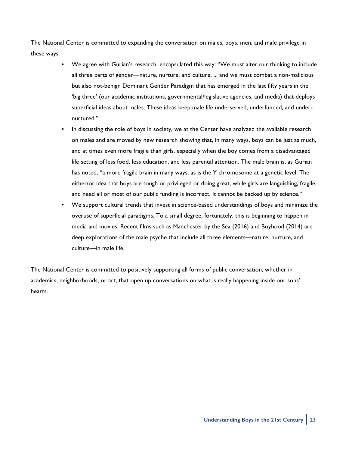The National Center is committed to expanding the conversation on males, boys, men, and male privilege in these ways.

- We agree with Gurian's research, encapsulated this way: "We must alter our thinking to include all three parts of gender—nature, nurture, and culture, ... and we must combat a non-malicious but also not-benign Dominant Gender Paradigm that has emerged in the last fifty years in the 'big three' (our academic institutions, governmental/legislative agencies, and media) that deploys superficial ideas about males. These ideas keep male life underserved, underfunded, and undernurtured."
- In discussing the role of boys in society, we at the Center have analyzed the available research on males and are moved by new research showing that, in many ways, boys can be just as much, and at times even more fragile than girls, especially when the boy comes from a disadvantaged life setting of less food, less education, and less parental attention. The male brain is, as Gurian has noted, "a more fragile brain in many ways, as is the Y chromosome at a genetic level. The either/or idea that boys are tough or privileged or doing great, while girls are languishing, fragile, and need all or most of our public funding is incorrect. It cannot be backed up by science."
- We support cultural trends that invest in science-based understandings of boys and minimize the overuse of superficial paradigms. To a small degree, fortunately, this is beginning to happen in media and movies. Recent films such as Manchester by the Sea (2016) and Boyhood (2014) are deep explorations of the male psyche that include all three elements—nature, nurture, and culture—in male life.

The National Center is committed to positively supporting all forms of public conversation, whether in academics, neighborhoods, or art, that open up conversations on what is really happening inside our sons' hearts.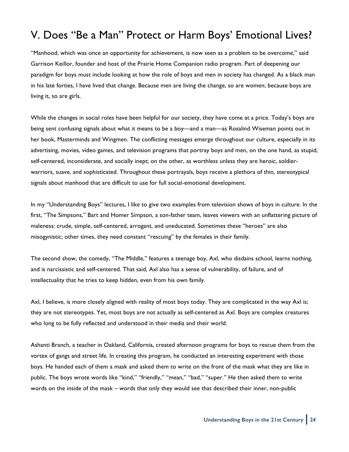# V. Does "Be a Man" Protect or Harm Boys' Emotional Lives?

"Manhood, which was once an opportunity for achievement, is now seen as a problem to be overcome," said Garrison Keillor, founder and host of the Prairie Home Companion radio program. Part of deepening our paradigm for boys must include looking at how the role of boys and men in society has changed. As a black man in his late forties, I have lived that change. Because men are living the change, so are women; because boys are living it, so are girls.

While the changes in social roles have been helpful for our society, they have come at a price. Today's boys are being sent confusing signals about what it means to be a boy—and a man—as Rosalind Wiseman points out in her book, Masterminds and Wingmen. The conflicting messages emerge throughout our culture, especially in its advertising, movies, video games, and television programs that portray boys and men, on the one hand, as stupid, self-centered, inconsiderate, and socially inept; on the other, as worthless unless they are heroic, soldierwarriors, suave, and sophisticated. Throughout these portrayals, boys receive a plethora of thin, stereotypical signals about manhood that are difficult to use for full social-emotional development.

In my "Understanding Boys" lectures, I like to give two examples from television shows of boys in culture. In the first, "The Simpsons," Bart and Homer Simpson, a son-father team, leaves viewers with an unflattering picture of maleness: crude, simple, self-centered, arrogant, and uneducated. Sometimes these "heroes" are also misogynistic; other times, they need constant "rescuing" by the females in their family.

The second show, the comedy, "The Middle," features a teenage boy, Axl, who disdains school, learns nothing, and is narcissistic and self-centered. That said, Axl also has a sense of vulnerability, of failure, and of intellectuality that he tries to keep hidden, even from his own family.

Axl, I believe, is more closely aligned with reality of most boys today. They are complicated in the way Axl is; they are not stereotypes. Yet, most boys are not actually as self-centered as Axl. Boys are complex creatures who long to be fully reflected and understood in their media and their world.

Ashanti Branch, a teacher in Oakland, California, created afternoon programs for boys to rescue them from the vortex of gangs and street life. In creating this program, he conducted an interesting experiment with those boys. He handed each of them a mask and asked them to write on the front of the mask what they are like in public. The boys wrote words like "kind," "friendly," "mean," "bad," "super." He then asked them to write words on the inside of the mask – words that only they would see that described their inner, non-public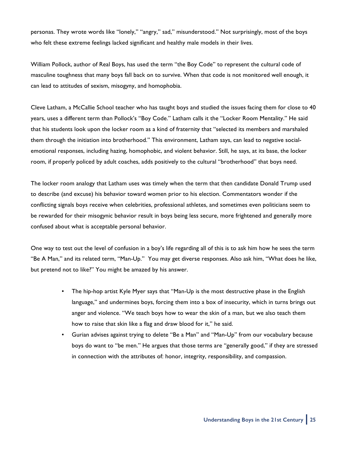personas. They wrote words like "lonely," "angry," sad," misunderstood." Not surprisingly, most of the boys who felt these extreme feelings lacked significant and healthy male models in their lives.

William Pollock, author of Real Boys, has used the term "the Boy Code" to represent the cultural code of masculine toughness that many boys fall back on to survive. When that code is not monitored well enough, it can lead to attitudes of sexism, misogyny, and homophobia.

Cleve Latham, a McCallie School teacher who has taught boys and studied the issues facing them for close to 40 years, uses a different term than Pollock's "Boy Code." Latham calls it the "Locker Room Mentality." He said that his students look upon the locker room as a kind of fraternity that "selected its members and marshaled them through the initiation into brotherhood." This environment, Latham says, can lead to negative socialemotional responses, including hazing, homophobic, and violent behavior. Still, he says, at its base, the locker room, if properly policed by adult coaches, adds positively to the cultural "brotherhood" that boys need.

The locker room analogy that Latham uses was timely when the term that then candidate Donald Trump used to describe (and excuse) his behavior toward women prior to his election. Commentators wonder if the conflicting signals boys receive when celebrities, professional athletes, and sometimes even politicians seem to be rewarded for their misogynic behavior result in boys being less secure, more frightened and generally more confused about what is acceptable personal behavior.

One way to test out the level of confusion in a boy's life regarding all of this is to ask him how he sees the term "Be A Man," and its related term, "Man-Up." You may get diverse responses. Also ask him, "What does he like, but pretend not to like?" You might be amazed by his answer.

- The hip-hop artist Kyle Myer says that "Man-Up is the most destructive phase in the English language," and undermines boys, forcing them into a box of insecurity, which in turns brings out anger and violence. "We teach boys how to wear the skin of a man, but we also teach them how to raise that skin like a flag and draw blood for it," he said.
- Gurian advises against trying to delete "Be a Man" and "Man-Up" from our vocabulary because boys do want to "be men." He argues that those terms are "generally good," if they are stressed in connection with the attributes of: honor, integrity, responsibility, and compassion.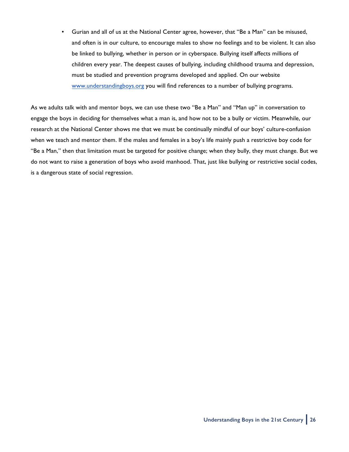• Gurian and all of us at the National Center agree, however, that "Be a Man" can be misused, and often is in our culture, to encourage males to show no feelings and to be violent. It can also be linked to bullying, whether in person or in cyberspace. Bullying itself affects millions of children every year. The deepest causes of bullying, including childhood trauma and depression, must be studied and prevention programs developed and applied. On our website [www.understandingboys.org](http://www.understandingboys.org) you will find references to a number of bullying programs.

As we adults talk with and mentor boys, we can use these two "Be a Man" and "Man up" in conversation to engage the boys in deciding for themselves what a man is, and how not to be a bully or victim. Meanwhile, our research at the National Center shows me that we must be continually mindful of our boys' culture-confusion when we teach and mentor them. If the males and females in a boy's life mainly push a restrictive boy code for "Be a Man," then that limitation must be targeted for positive change; when they bully, they must change. But we do not want to raise a generation of boys who avoid manhood. That, just like bullying or restrictive social codes, is a dangerous state of social regression.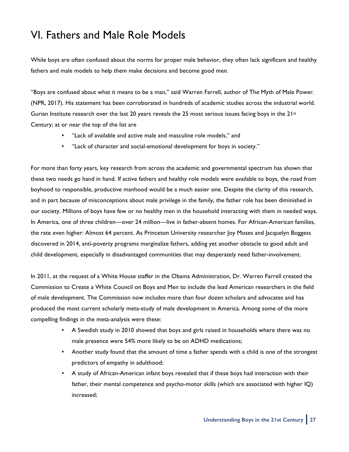### VI. Fathers and Male Role Models

While boys are often confused about the norms for proper male behavior, they often lack significant and healthy fathers and male models to help them make decisions and become good men.

"Boys are confused about what it means to be a man," said Warren Farrell, author of The Myth of Male Power. (NPR, 2017). His statement has been corroborated in hundreds of academic studies across the industrial world. Gurian Institute research over the last 20 years reveals the 25 most serious issues facing boys in the  $21^{st}$ Century; at or near the top of the list are

- "Lack of available and active male and masculine role models," and
- "Lack of character and social-emotional development for boys in society."

For more than forty years, key research from across the academic and governmental spectrum has shown that these two needs go hand in hand. If active fathers and healthy role models were available to boys, the road from boyhood to responsible, productive manhood would be a much easier one. Despite the clarity of this research, and in part because of misconceptions about male privilege in the family, the father role has been diminished in our society. Millions of boys have few or no healthy men in the household interacting with them in needed ways. In America, one of three children—over 24 million—live in father-absent homes. For African-American families, the rate even higher: Almost 64 percent. As Princeton University researcher Joy Moses and Jacquelyn Boggess discovered in 2014, anti-poverty programs marginalize fathers, adding yet another obstacle to good adult and child development, especially in disadvantaged communities that may desperately need father-involvement.

In 2011, at the request of a White House staffer in the Obama Administration, Dr. Warren Farrell created the Commission to Create a White Council on Boys and Men to include the lead American researchers in the field of male development. The Commission now includes more than four dozen scholars and advocates and has produced the most current scholarly meta-study of male development in America. Among some of the more compelling findings in the meta-analysis were these:

- A Swedish study in 2010 showed that boys and girls raised in households where there was no male presence were 54% more likely to be on ADHD medications;
- Another study found that the amount of time a father spends with a child is one of the strongest predictors of empathy in adulthood;
- A study of African-American infant boys revealed that if these boys had interaction with their father, their mental competence and psycho-motor skills (which are associated with higher IQ) increased;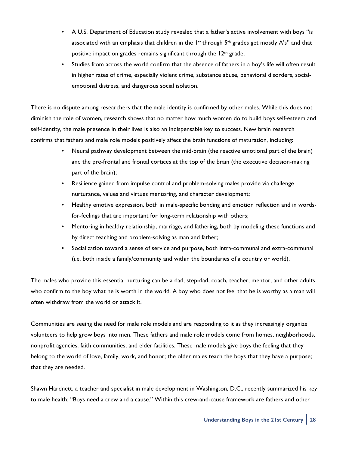- A U.S. Department of Education study revealed that a father's active involvement with boys "is associated with an emphasis that children in the  $1st$  through  $5th$  grades get mostly A's" and that positive impact on grades remains significant through the 12<sup>th</sup> grade;
- Studies from across the world confirm that the absence of fathers in a boy's life will often result in higher rates of crime, especially violent crime, substance abuse, behavioral disorders, socialemotional distress, and dangerous social isolation.

There is no dispute among researchers that the male identity is confirmed by other males. While this does not diminish the role of women, research shows that no matter how much women do to build boys self-esteem and self-identity, the male presence in their lives is also an indispensable key to success. New brain research confirms that fathers and male role models positively affect the brain functions of maturation, including:

- Neural pathway development between the mid-brain (the reactive emotional part of the brain) and the pre-frontal and frontal cortices at the top of the brain (the executive decision-making part of the brain);
- Resilience gained from impulse control and problem-solving males provide via challenge nurturance, values and virtues mentoring, and character development;
- Healthy emotive expression, both in male-specific bonding and emotion reflection and in wordsfor-feelings that are important for long-term relationship with others;
- Mentoring in healthy relationship, marriage, and fathering, both by modeling these functions and by direct teaching and problem-solving as man and father;
- Socialization toward a sense of service and purpose, both intra-communal and extra-communal (i.e. both inside a family/community and within the boundaries of a country or world).

The males who provide this essential nurturing can be a dad, step-dad, coach, teacher, mentor, and other adults who confirm to the boy what he is worth in the world. A boy who does not feel that he is worthy as a man will often withdraw from the world or attack it.

Communities are seeing the need for male role models and are responding to it as they increasingly organize volunteers to help grow boys into men. These fathers and male role models come from homes, neighborhoods, nonprofit agencies, faith communities, and elder facilities. These male models give boys the feeling that they belong to the world of love, family, work, and honor; the older males teach the boys that they have a purpose; that they are needed.

Shawn Hardnett, a teacher and specialist in male development in Washington, D.C., recently summarized his key to male health: "Boys need a crew and a cause." Within this crew-and-cause framework are fathers and other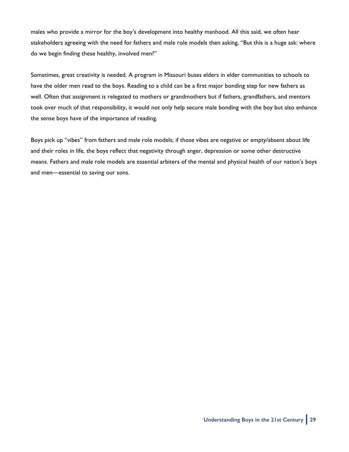males who provide a mirror for the boy's development into healthy manhood. All this said, we often hear stakeholders agreeing with the need for fathers and male role models then asking, "But this is a huge ask: where do we begin finding these healthy, involved men?"

Sometimes, great creativity is needed. A program in Missouri buses elders in elder communities to schools to have the older men read to the boys. Reading to a child can be a first major bonding step for new fathers as well. Often that assignment is relegated to mothers or grandmothers but if fathers, grandfathers, and mentors took over much of that responsibility, it would not only help secure male bonding with the boy but also enhance the sense boys have of the importance of reading.

Boys pick up "vibes" from fathers and male role models; if those vibes are negative or empty/absent about life and their roles in life, the boys reflect that negativity through anger, depression or some other destructive means. Fathers and male role models are essential arbiters of the mental and physical health of our nation's boys and men—essential to saving our sons.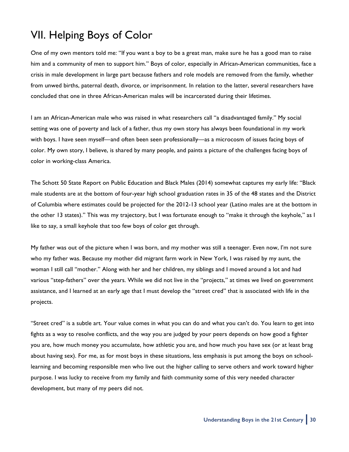# VII. Helping Boys of Color

One of my own mentors told me: "If you want a boy to be a great man, make sure he has a good man to raise him and a community of men to support him." Boys of color, especially in African-American communities, face a crisis in male development in large part because fathers and role models are removed from the family, whether from unwed births, paternal death, divorce, or imprisonment. In relation to the latter, several researchers have concluded that one in three African-American males will be incarcerated during their lifetimes.

I am an African-American male who was raised in what researchers call "a disadvantaged family." My social setting was one of poverty and lack of a father, thus my own story has always been foundational in my work with boys. I have seen myself—and often been seen professionally—as a microcosm of issues facing boys of color. My own story, I believe, is shared by many people, and paints a picture of the challenges facing boys of color in working-class America.

The Schott 50 State Report on Public Education and Black Males (2014) somewhat captures my early life: "Black male students are at the bottom of four-year high school graduation rates in 35 of the 48 states and the District of Columbia where estimates could be projected for the 2012-13 school year (Latino males are at the bottom in the other 13 states)." This was my trajectory, but I was fortunate enough to "make it through the keyhole," as I like to say, a small keyhole that too few boys of color get through.

My father was out of the picture when I was born, and my mother was still a teenager. Even now, I'm not sure who my father was. Because my mother did migrant farm work in New York, I was raised by my aunt, the woman I still call "mother." Along with her and her children, my siblings and I moved around a lot and had various "step-fathers" over the years. While we did not live in the "projects," at times we lived on government assistance, and I learned at an early age that I must develop the "street cred" that is associated with life in the projects.

"Street cred" is a subtle art. Your value comes in what you can do and what you can't do. You learn to get into fights as a way to resolve conflicts, and the way you are judged by your peers depends on how good a fighter you are, how much money you accumulate, how athletic you are, and how much you have sex (or at least brag about having sex). For me, as for most boys in these situations, less emphasis is put among the boys on schoollearning and becoming responsible men who live out the higher calling to serve others and work toward higher purpose. I was lucky to receive from my family and faith community some of this very needed character development, but many of my peers did not.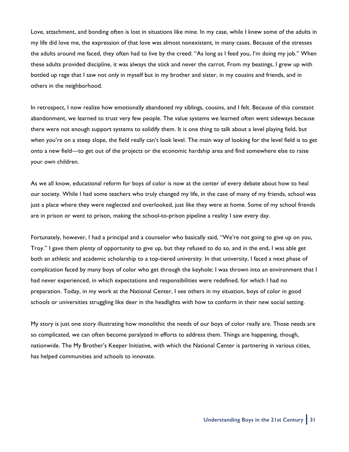Love, attachment, and bonding often is lost in situations like mine. In my case, while I knew some of the adults in my life did love me, the expression of that love was almost nonexistent, in many cases. Because of the stresses the adults around me faced, they often had to live by the creed: "As long as I feed you, I'm doing my job." When these adults provided discipline, it was always the stick and never the carrot. From my beatings, I grew up with bottled up rage that I saw not only in myself but in my brother and sister, in my cousins and friends, and in others in the neighborhood.

In retrospect, I now realize how emotionally abandoned my siblings, cousins, and I felt. Because of this constant abandonment, we learned to trust very few people. The value systems we learned often went sideways because there were not enough support systems to solidify them. It is one thing to talk about a level playing field, but when you're on a steep slope, the field really can't look level. The main way of looking for the level field is to get onto a new field—to get out of the projects or the economic hardship area and find somewhere else to raise your own children.

As we all know, educational reform for boys of color is now at the center of every debate about how to heal our society. While I had some teachers who truly changed my life, in the case of many of my friends, school was just a place where they were neglected and overlooked, just like they were at home. Some of my school friends are in prison or went to prison, making the school-to-prison pipeline a reality I saw every day.

Fortunately, however, I had a principal and a counselor who basically said, "We're not going to give up on you, Troy." I gave them plenty of opportunity to give up, but they refused to do so, and in the end, I was able get both an athletic and academic scholarship to a top-tiered university. In that university, I faced a next phase of complication faced by many boys of color who get through the keyhole: I was thrown into an environment that I had never experienced, in which expectations and responsibilities were redefined, for which I had no preparation. Today, in my work at the National Center, I see others in my situation, boys of color in good schools or universities struggling like deer in the headlights with how to conform in their new social setting.

My story is just one story illustrating how monolithic the needs of our boys of color really are. Those needs are so complicated, we can often become paralyzed in efforts to address them. Things are happening, though, nationwide. The My Brother's Keeper Initiative, with which the National Center is partnering in various cities, has helped communities and schools to innovate.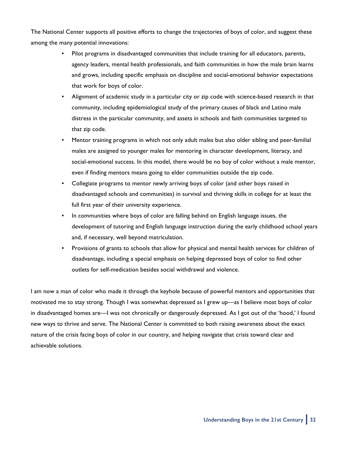The National Center supports all positive efforts to change the trajectories of boys of color, and suggest these among the many potential innovations:

- Pilot programs in disadvantaged communities that include training for all educators, parents, agency leaders, mental health professionals, and faith communities in how the male brain learns and grows, including specific emphasis on discipline and social-emotional behavior expectations that work for boys of color.
- Alignment of academic study in a particular city or zip code with science-based research in that community, including epidemiological study of the primary causes of black and Latino male distress in the particular community, and assets in schools and faith communities targeted to that zip code.
- Mentor training programs in which not only adult males but also older sibling and peer-familial males are assigned to younger males for mentoring in character development, literacy, and social-emotional success. In this model, there would be no boy of color without a male mentor, even if finding mentors means going to elder communities outside the zip code.
- Collegiate programs to mentor newly arriving boys of color (and other boys raised in disadvantaged schools and communities) in survival and thriving skills in college for at least the full first year of their university experience.
- In communities where boys of color are falling behind on English language issues, the development of tutoring and English language instruction during the early childhood school years and, if necessary, well beyond matriculation.
- Provisions of grants to schools that allow for physical and mental health services for children of disadvantage, including a special emphasis on helping depressed boys of color to find other outlets for self-medication besides social withdrawal and violence.

I am now a man of color who made it through the keyhole because of powerful mentors and opportunities that motivated me to stay strong. Though I was somewhat depressed as I grew up—as I believe most boys of color in disadvantaged homes are—I was not chronically or dangerously depressed. As I got out of the 'hood,' I found new ways to thrive and serve. The National Center is committed to both raising awareness about the exact nature of the crisis facing boys of color in our country, and helping navigate that crisis toward clear and achievable solutions.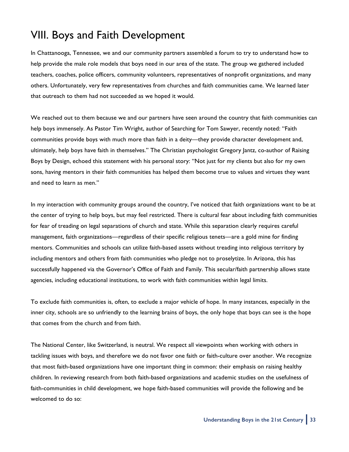### VIII. Boys and Faith Development

In Chattanooga, Tennessee, we and our community partners assembled a forum to try to understand how to help provide the male role models that boys need in our area of the state. The group we gathered included teachers, coaches, police officers, community volunteers, representatives of nonprofit organizations, and many others. Unfortunately, very few representatives from churches and faith communities came. We learned later that outreach to them had not succeeded as we hoped it would.

We reached out to them because we and our partners have seen around the country that faith communities can help boys immensely. As Pastor Tim Wright, author of Searching for Tom Sawyer, recently noted: "Faith communities provide boys with much more than faith in a deity—they provide character development and, ultimately, help boys have faith in themselves." The Christian psychologist Gregory Jantz, co-author of Raising Boys by Design, echoed this statement with his personal story: "Not just for my clients but also for my own sons, having mentors in their faith communities has helped them become true to values and virtues they want and need to learn as men."

In my interaction with community groups around the country, I've noticed that faith organizations want to be at the center of trying to help boys, but may feel restricted. There is cultural fear about including faith communities for fear of treading on legal separations of church and state. While this separation clearly requires careful management, faith organizations—regardless of their specific religious tenets—are a gold mine for finding mentors. Communities and schools can utilize faith-based assets without treading into religious territory by including mentors and others from faith communities who pledge not to proselytize. In Arizona, this has successfully happened via the Governor's Office of Faith and Family. This secular/faith partnership allows state agencies, including educational institutions, to work with faith communities within legal limits.

To exclude faith communities is, often, to exclude a major vehicle of hope. In many instances, especially in the inner city, schools are so unfriendly to the learning brains of boys, the only hope that boys can see is the hope that comes from the church and from faith.

The National Center, like Switzerland, is neutral. We respect all viewpoints when working with others in tackling issues with boys, and therefore we do not favor one faith or faith-culture over another. We recognize that most faith-based organizations have one important thing in common: their emphasis on raising healthy children. In reviewing research from both faith-based organizations and academic studies on the usefulness of faith-communities in child development, we hope faith-based communities will provide the following and be welcomed to do so: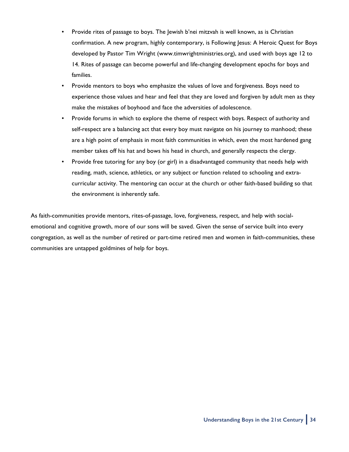- Provide rites of passage to boys. The Jewish b'nei mitzvah is well known, as is Christian confirmation. A new program, highly contemporary, is Following Jesus: A Heroic Quest for Boys developed by Pastor Tim Wright (www.timwrightministries.org), and used with boys age 12 to 14. Rites of passage can become powerful and life-changing development epochs for boys and families.
- Provide mentors to boys who emphasize the values of love and forgiveness. Boys need to experience those values and hear and feel that they are loved and forgiven by adult men as they make the mistakes of boyhood and face the adversities of adolescence.
- Provide forums in which to explore the theme of respect with boys. Respect of authority and self-respect are a balancing act that every boy must navigate on his journey to manhood; these are a high point of emphasis in most faith communities in which, even the most hardened gang member takes off his hat and bows his head in church, and generally respects the clergy.
- Provide free tutoring for any boy (or girl) in a disadvantaged community that needs help with reading, math, science, athletics, or any subject or function related to schooling and extracurricular activity. The mentoring can occur at the church or other faith-based building so that the environment is inherently safe.

As faith-communities provide mentors, rites-of-passage, love, forgiveness, respect, and help with socialemotional and cognitive growth, more of our sons will be saved. Given the sense of service built into every congregation, as well as the number of retired or part-time retired men and women in faith-communities, these communities are untapped goldmines of help for boys.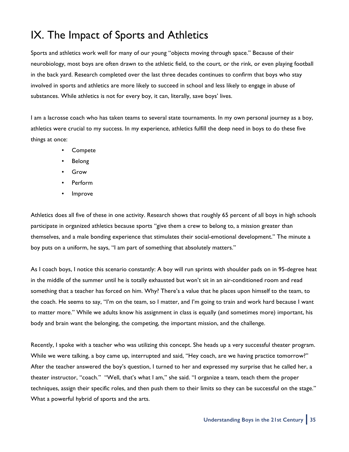# IX. The Impact of Sports and Athletics

Sports and athletics work well for many of our young "objects moving through space." Because of their neurobiology, most boys are often drawn to the athletic field, to the court, or the rink, or even playing football in the back yard. Research completed over the last three decades continues to confirm that boys who stay involved in sports and athletics are more likely to succeed in school and less likely to engage in abuse of substances. While athletics is not for every boy, it can, literally, save boys' lives.

I am a lacrosse coach who has taken teams to several state tournaments. In my own personal journey as a boy, athletics were crucial to my success. In my experience, athletics fulfill the deep need in boys to do these five things at once:

- Compete
- Belong
- Grow
- Perform
- **Improve**

Athletics does all five of these in one activity. Research shows that roughly 65 percent of all boys in high schools participate in organized athletics because sports "give them a crew to belong to, a mission greater than themselves, and a male bonding experience that stimulates their social-emotional development." The minute a boy puts on a uniform, he says, "I am part of something that absolutely matters."

As I coach boys, I notice this scenario constantly: A boy will run sprints with shoulder pads on in 95-degree heat in the middle of the summer until he is totally exhausted but won't sit in an air-conditioned room and read something that a teacher has forced on him. Why? There's a value that he places upon himself to the team, to the coach. He seems to say, "I'm on the team, so I matter, and I'm going to train and work hard because I want to matter more." While we adults know his assignment in class is equally (and sometimes more) important, his body and brain want the belonging, the competing, the important mission, and the challenge.

Recently, I spoke with a teacher who was utilizing this concept. She heads up a very successful theater program. While we were talking, a boy came up, interrupted and said, "Hey coach, are we having practice tomorrow?" After the teacher answered the boy's question, I turned to her and expressed my surprise that he called her, a theater instructor, "coach." "Well, that's what I am," she said. "I organize a team, teach them the proper techniques, assign their specific roles, and then push them to their limits so they can be successful on the stage." What a powerful hybrid of sports and the arts.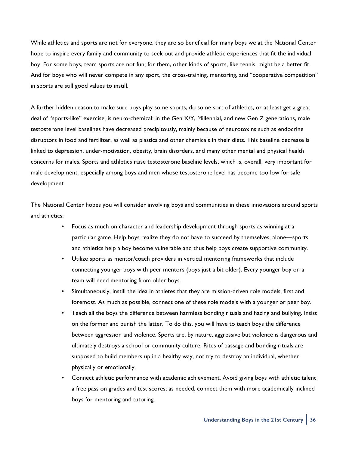While athletics and sports are not for everyone, they are so beneficial for many boys we at the National Center hope to inspire every family and community to seek out and provide athletic experiences that fit the individual boy. For some boys, team sports are not fun; for them, other kinds of sports, like tennis, might be a better fit. And for boys who will never compete in any sport, the cross-training, mentoring, and "cooperative competition" in sports are still good values to instill.

A further hidden reason to make sure boys play some sports, do some sort of athletics, or at least get a great deal of "sports-like" exercise, is neuro-chemical: in the Gen X/Y, Millennial, and new Gen Z generations, male testosterone level baselines have decreased precipitously, mainly because of neurotoxins such as endocrine disruptors in food and fertilizer, as well as plastics and other chemicals in their diets. This baseline decrease is linked to depression, under-motivation, obesity, brain disorders, and many other mental and physical health concerns for males. Sports and athletics raise testosterone baseline levels, which is, overall, very important for male development, especially among boys and men whose testosterone level has become too low for safe development.

The National Center hopes you will consider involving boys and communities in these innovations around sports and athletics:

- Focus as much on character and leadership development through sports as winning at a particular game. Help boys realize they do not have to succeed by themselves, alone—sports and athletics help a boy become vulnerable and thus help boys create supportive community.
- Utilize sports as mentor/coach providers in vertical mentoring frameworks that include connecting younger boys with peer mentors (boys just a bit older). Every younger boy on a team will need mentoring from older boys.
- Simultaneously, instill the idea in athletes that they are mission-driven role models, first and foremost. As much as possible, connect one of these role models with a younger or peer boy.
- Teach all the boys the difference between harmless bonding rituals and hazing and bullying. Insist on the former and punish the latter. To do this, you will have to teach boys the difference between aggression and violence. Sports are, by nature, aggressive but violence is dangerous and ultimately destroys a school or community culture. Rites of passage and bonding rituals are supposed to build members up in a healthy way, not try to destroy an individual, whether physically or emotionally.
- Connect athletic performance with academic achievement. Avoid giving boys with athletic talent a free pass on grades and test scores; as needed, connect them with more academically inclined boys for mentoring and tutoring.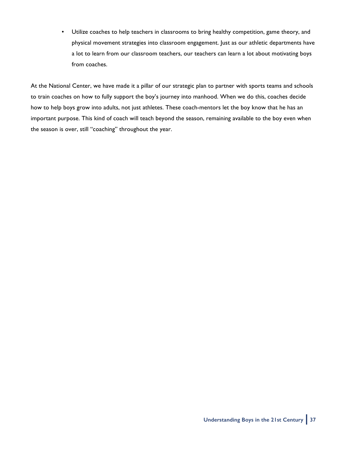• Utilize coaches to help teachers in classrooms to bring healthy competition, game theory, and physical movement strategies into classroom engagement. Just as our athletic departments have a lot to learn from our classroom teachers, our teachers can learn a lot about motivating boys from coaches.

At the National Center, we have made it a pillar of our strategic plan to partner with sports teams and schools to train coaches on how to fully support the boy's journey into manhood. When we do this, coaches decide how to help boys grow into adults, not just athletes. These coach-mentors let the boy know that he has an important purpose. This kind of coach will teach beyond the season, remaining available to the boy even when the season is over, still "coaching" throughout the year.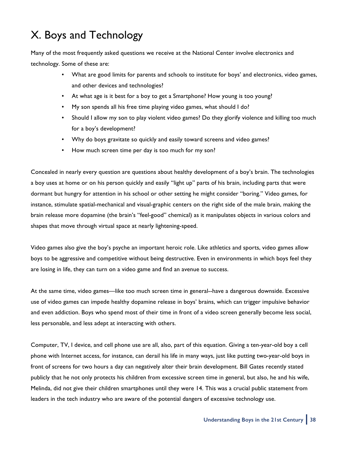# X. Boys and Technology

Many of the most frequently asked questions we receive at the National Center involve electronics and technology. Some of these are:

- What are good limits for parents and schools to institute for boys' and electronics, video games, and other devices and technologies?
- At what age is it best for a boy to get a Smartphone? How young is too young?
- My son spends all his free time playing video games, what should I do?
- Should I allow my son to play violent video games? Do they glorify violence and killing too much for a boy's development?
- Why do boys gravitate so quickly and easily toward screens and video games?
- How much screen time per day is too much for my son?

Concealed in nearly every question are questions about healthy development of a boy's brain. The technologies a boy uses at home or on his person quickly and easily "light up" parts of his brain, including parts that were dormant but hungry for attention in his school or other setting he might consider "boring." Video games, for instance, stimulate spatial-mechanical and visual-graphic centers on the right side of the male brain, making the brain release more dopamine (the brain's "feel-good" chemical) as it manipulates objects in various colors and shapes that move through virtual space at nearly lightening-speed.

Video games also give the boy's psyche an important heroic role. Like athletics and sports, video games allow boys to be aggressive and competitive without being destructive. Even in environments in which boys feel they are losing in life, they can turn on a video game and find an avenue to success.

At the same time, video games—like too much screen time in general--have a dangerous downside. Excessive use of video games can impede healthy dopamine release in boys' brains, which can trigger impulsive behavior and even addiction. Boys who spend most of their time in front of a video screen generally become less social, less personable, and less adept at interacting with others.

Computer, TV, I device, and cell phone use are all, also, part of this equation. Giving a ten-year-old boy a cell phone with Internet access, for instance, can derail his life in many ways, just like putting two-year-old boys in front of screens for two hours a day can negatively alter their brain development. Bill Gates recently stated publicly that he not only protects his children from excessive screen time in general, but also, he and his wife, Melinda, did not give their children smartphones until they were 14. This was a crucial public statement from leaders in the tech industry who are aware of the potential dangers of excessive technology use.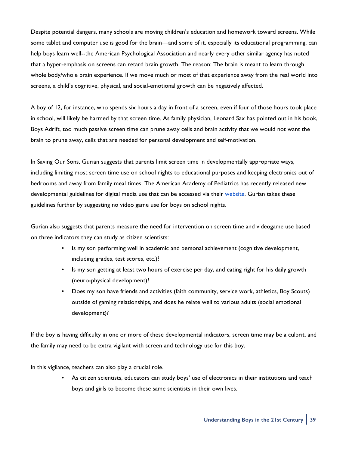Despite potential dangers, many schools are moving children's education and homework toward screens. While some tablet and computer use is good for the brain—and some of it, especially its educational programming, can help boys learn well--the American Psychological Association and nearly every other similar agency has noted that a hyper-emphasis on screens can retard brain growth. The reason: The brain is meant to learn through whole body/whole brain experience. If we move much or most of that experience away from the real world into screens, a child's cognitive, physical, and social-emotional growth can be negatively affected.

A boy of 12, for instance, who spends six hours a day in front of a screen, even if four of those hours took place in school, will likely be harmed by that screen time. As family physician, Leonard Sax has pointed out in his book, Boys Adrift, too much passive screen time can prune away cells and brain activity that we would not want the brain to prune away, cells that are needed for personal development and self-motivation.

In Saving Our Sons, Gurian suggests that parents limit screen time in developmentally appropriate ways, including limiting most screen time use on school nights to educational purposes and keeping electronics out of bedrooms and away from family meal times. The American Academy of Pediatrics has recently released new developmental guidelines for digital media use that can be accessed via their [website](https://www.aap.org/en-us/about-the-aap/aap-press-room/pages/american-academy-of-pediatrics-announces-new-recommendations-for-childrens-media-use.aspx). Gurian takes these guidelines further by suggesting no video game use for boys on school nights.

Gurian also suggests that parents measure the need for intervention on screen time and videogame use based on three indicators they can study as citizen scientists:

- Is my son performing well in academic and personal achievement (cognitive development, including grades, test scores, etc.)?
- Is my son getting at least two hours of exercise per day, and eating right for his daily growth (neuro-physical development)?
- Does my son have friends and activities (faith community, service work, athletics, Boy Scouts) outside of gaming relationships, and does he relate well to various adults (social emotional development)?

If the boy is having difficulty in one or more of these developmental indicators, screen time may be a culprit, and the family may need to be extra vigilant with screen and technology use for this boy.

In this vigilance, teachers can also play a crucial role.

• As citizen scientists, educators can study boys' use of electronics in their institutions and teach boys and girls to become these same scientists in their own lives.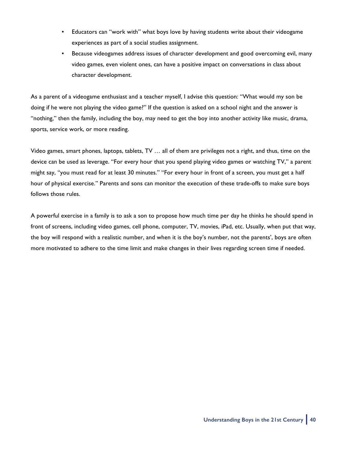- Educators can "work with" what boys love by having students write about their videogame experiences as part of a social studies assignment.
- Because videogames address issues of character development and good overcoming evil, many video games, even violent ones, can have a positive impact on conversations in class about character development.

As a parent of a videogame enthusiast and a teacher myself, I advise this question: "What would my son be doing if he were not playing the video game?" If the question is asked on a school night and the answer is "nothing," then the family, including the boy, may need to get the boy into another activity like music, drama, sports, service work, or more reading.

Video games, smart phones, laptops, tablets, TV … all of them are privileges not a right, and thus, time on the device can be used as leverage. "For every hour that you spend playing video games or watching TV," a parent might say, "you must read for at least 30 minutes." "For every hour in front of a screen, you must get a half hour of physical exercise." Parents and sons can monitor the execution of these trade-offs to make sure boys follows those rules.

A powerful exercise in a family is to ask a son to propose how much time per day he thinks he should spend in front of screens, including video games, cell phone, computer, TV, movies, iPad, etc. Usually, when put that way, the boy will respond with a realistic number, and when it is the boy's number, not the parents', boys are often more motivated to adhere to the time limit and make changes in their lives regarding screen time if needed.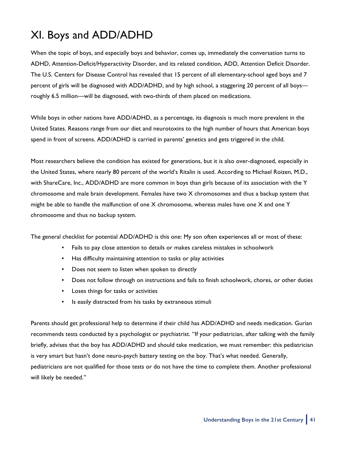# XI. Boys and ADD/ADHD

When the topic of boys, and especially boys and behavior, comes up, immediately the conversation turns to ADHD, Attention-Deficit/Hyperactivity Disorder, and its related condition, ADD, Attention Deficit Disorder. The U.S. Centers for Disease Control has revealed that 15 percent of all elementary-school aged boys and 7 percent of girls will be diagnosed with ADD/ADHD, and by high school, a staggering 20 percent of all boys roughly 6.5 million—will be diagnosed, with two-thirds of them placed on medications.

While boys in other nations have ADD/ADHD, as a percentage, its diagnosis is much more prevalent in the United States. Reasons range from our diet and neurotoxins to the high number of hours that American boys spend in front of screens. ADD/ADHD is carried in parents' genetics and gets triggered in the child.

Most researchers believe the condition has existed for generations, but it is also over-diagnosed, especially in the United States, where nearly 80 percent of the world's Ritalin is used. According to Michael Roizen, M.D., with ShareCare, Inc., ADD/ADHD are more common in boys than girls because of its association with the Y chromosome and male brain development. Females have two X chromosomes and thus a backup system that might be able to handle the malfunction of one X chromosome, whereas males have one X and one Y chromosome and thus no backup system.

The general checklist for potential ADD/ADHD is this one: My son often experiences all or most of these:

- Fails to pay close attention to details or makes careless mistakes in schoolwork
- Has difficulty maintaining attention to tasks or play activities
- Does not seem to listen when spoken to directly
- Does not follow through on instructions and fails to finish schoolwork, chores, or other duties
- Loses things for tasks or activities
- Is easily distracted from his tasks by extraneous stimuli

Parents should get professional help to determine if their child has ADD/ADHD and needs medication. Gurian recommends tests conducted by a psychologist or psychiatrist. "If your pediatrician, after talking with the family briefly, advises that the boy has ADD/ADHD and should take medication, we must remember: this pediatrician is very smart but hasn't done neuro-psych battery testing on the boy. That's what needed. Generally, pediatricians are not qualified for those tests or do not have the time to complete them. Another professional will likely be needed."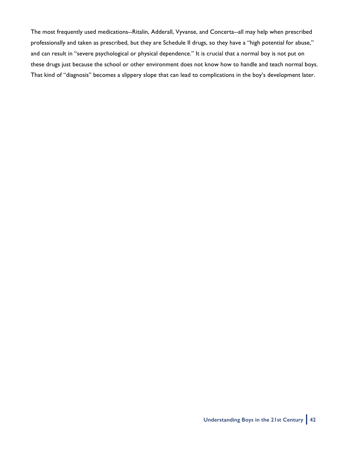The most frequently used medications--Ritalin, Adderall, Vyvanse, and Concerta--all may help when prescribed professionally and taken as prescribed, but they are Schedule II drugs, so they have a "high potential for abuse," and can result in "severe psychological or physical dependence." It is crucial that a normal boy is not put on these drugs just because the school or other environment does not know how to handle and teach normal boys. That kind of "diagnosis" becomes a slippery slope that can lead to complications in the boy's development later.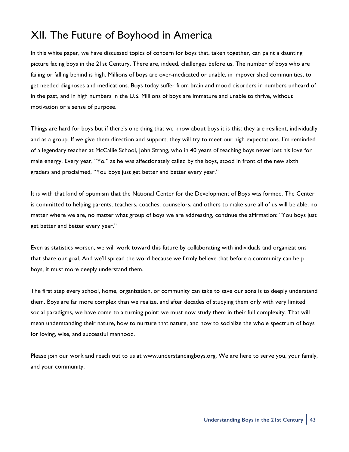# XII. The Future of Boyhood in America

In this white paper, we have discussed topics of concern for boys that, taken together, can paint a daunting picture facing boys in the 21st Century. There are, indeed, challenges before us. The number of boys who are failing or falling behind is high. Millions of boys are over-medicated or unable, in impoverished communities, to get needed diagnoses and medications. Boys today suffer from brain and mood disorders in numbers unheard of in the past, and in high numbers in the U.S. Millions of boys are immature and unable to thrive, without motivation or a sense of purpose.

Things are hard for boys but if there's one thing that we know about boys it is this: they are resilient, individually and as a group. If we give them direction and support, they will try to meet our high expectations. I'm reminded of a legendary teacher at McCallie School, John Strang, who in 40 years of teaching boys never lost his love for male energy. Every year, "Yo," as he was affectionately called by the boys, stood in front of the new sixth graders and proclaimed, "You boys just get better and better every year."

It is with that kind of optimism that the National Center for the Development of Boys was formed. The Center is committed to helping parents, teachers, coaches, counselors, and others to make sure all of us will be able, no matter where we are, no matter what group of boys we are addressing, continue the affirmation: "You boys just get better and better every year."

Even as statistics worsen, we will work toward this future by collaborating with individuals and organizations that share our goal. And we'll spread the word because we firmly believe that before a community can help boys, it must more deeply understand them.

The first step every school, home, organization, or community can take to save our sons is to deeply understand them. Boys are far more complex than we realize, and after decades of studying them only with very limited social paradigms, we have come to a turning point: we must now study them in their full complexity. That will mean understanding their nature, how to nurture that nature, and how to socialize the whole spectrum of boys for loving, wise, and successful manhood.

Please join our work and reach out to us at www.understandingboys.org. We are here to serve you, your family, and your community.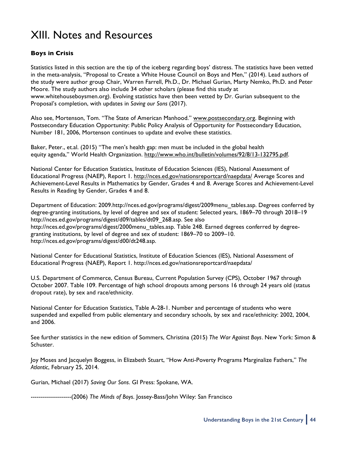# XIII. Notes and Resources

### **Boys in Crisis**

Statistics listed in this section are the tip of the iceberg regarding boys' distress. The statistics have been vetted in the meta-analysis, "Proposal to Create a White House Council on Boys and Men," (2014). Lead authors of the study were author group Chair, Warren Farrell, Ph.D., Dr. Michael Gurian, Marty Nemko, Ph.D. and Peter Moore. The study authors also include 34 other scholars (please find this study at www.whitehouseboysmen.org). Evolving statistics have then been vetted by Dr. Gurian subsequent to the Proposal's completion, with updates in *Saving our Sons* (2017).

Also see, Mortenson, Tom. "The State of American Manhood." [www.postsecondary.org.](http://www.postsecondary.org) Beginning with Postsecondary Education Opportunity: Public Policy Analysis of Opportunity for Postsecondary Education, Number 181, 2006, Mortenson continues to update and evolve these statistics.

Baker, Peter., et.al. (2015) "The men's health gap: men must be included in the global health equity agenda," World Health Organization.<http://www.who.int/bulletin/volumes/92/8/13-132795.pdf>.

National Center for Education Statistics, Institute of Education Sciences (IES), National Assessment of Educational Progress (NAEP), Report 1. <http://nces.ed.gov/nationsreportcard/naepdata/> Average Scores and Achievement-Level Results in Mathematics by Gender, Grades 4 and 8. Average Scores and Achievement-Level Results in Reading by Gender, Grades 4 and 8.

Department of Education: 2009.http://nces.ed.gov/programs/digest/2009menu\_tables.asp. Degrees conferred by degree-granting institutions, by level of degree and sex of student: Selected years, 1869–70 through 2018–19 http://nces.ed.gov/programs/digest/d09/tables/dt09\_268.asp. See also http://nces.ed.gov/programs/digest/2000menu\_tables.asp. Table 248. Earned degrees conferred by degreegranting institutions, by level of degree and sex of student: 1869–70 to 2009–10. http://nces.ed.gov/programs/digest/d00/dt248.asp.

National Center for Educational Statistics, Institute of Education Sciences (IES), National Assessment of Educational Progress (NAEP), Report 1. http://nces.ed.gov/nationsreportcard/naepdata/

U.S. Department of Commerce, Census Bureau, Current Population Survey (CPS), October 1967 through October 2007. Table 109. Percentage of high school dropouts among persons 16 through 24 years old (status dropout rate), by sex and race/ethnicity.

National Center for Education Statistics, Table A-28-1. Number and percentage of students who were suspended and expelled from public elementary and secondary schools, by sex and race/ethnicity: 2002, 2004, and 2006.

See further statistics in the new edition of Sommers, Christina (2015) *The War Against Boys.* New York: Simon & Schuster.

Joy Moses and Jacquelyn Boggess, in Elizabeth Stuart, "How Anti-Poverty Programs Marginalize Fathers," *The Atlantic*, February 25, 2014.

Gurian, Michael (2017) *Saving Our Sons*. GI Press: Spokane, WA.

--------------------(2006) *The Minds of Boys*. Jossey-Bass/John Wiley: San Francisco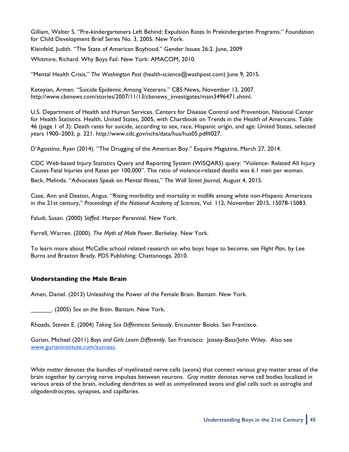Gilliam, Walter S. "Pre-kindergarteners Left Behind: Expulsion Rates In Prekindergarten Programs." Foundation for Child Development Brief Series No. 3, 2005. New York.

Kleinfeld, Judith. "The State of American Boyhood." Gender Issues 26:2. June, 2009

Whitmire, Richard. Why Boys Fail. New York: AMACOM, 2010.

"Mental Health Crisis," *The Washington Post* (health-science@washpost.com) June 9, 2015.

Keteyian, Armen. "Suicide Epidemic Among Veterans." CBS News, November 13, 2007. http://www.cbsnews.com/stories/2007/11/13/cbsnews\_investigates/main3496471.shtml.

U.S. Department of Health and Human Services. Centers for Disease Control and Prevention, National Center for Health Statistics. Health, United States, 2005, with Chartbook on Trends in the Health of Americans. Table 46 (page 1 of 3): Death rates for suicide, according to sex, race, Hispanic origin, and age: United States, selected years 1900–2003, p. 221. http://www.cdc.gov/nchs/data/hus/hus05.pdf#027.

D'Agostino, Ryan (2014). "The Drugging of the American Boy." Esquire Magazine, March 27, 2014.

CDC Web-based Injury Statistics Query and Reporting System (WISQARS) query: "Violence- Related All Injury Causes Fatal Injuries and Rates per 100,000". The ratio of violence-related deaths was 6.1 men per woman.

Beck, Melinda. "Advocates Speak on Mental Illness," *The Wall Street Journal*, August 4, 2015.

Case, Ann and Deaton, Angus. "Rising morbidity and mortality in midlife among white non-Hispanic Americans in the 21st century," *Proceedings of the National Academy of Sciences*, Vol. 112, November 2015, 15078-15083.

Faludi, Susan. (2000) *Stiffed*. Harper Perennial. New York.

Farrell, Warren. (2000). *The Myth of Male Power*. Berkeley. New York.

To learn more about McCallie school related research on who boys hope to become, see *Flight Plan*, by Lee Burns and Braxton Brady, PDS Publishing: Chattanooga, 2010.

### **Understanding the Male Brain**

Amen, Daniel. (2013) Unleashing the Power of the Female Brain. Bantam. New York.

\_\_\_\_\_\_. (2005) *Sex on the Brain*. Bantam. New York.

Rhoads, Steven E. (2004) *Taking Sex Differences Seriously*. Encounter Books. San Francisco.

Gurian, Michael (2011) *Boys and Girls Learn Differently*. San Francisco: Jossey-Bass/John Wiley. Also see [www.gurianinstitute.com/success.](http://www.gurianinstitute.com/success)

*White matter* denotes the bundles of myelinated nerve cells (axons) that connect various gray matter areas of the brain together by carrying nerve impulses between neurons. *Gray matter* denotes nerve cell bodies localized in various areas of the brain, including dendrites as well as unmyelinated axons and glial cells such as astroglia and oligodendrocytes, synapses, and capillaries.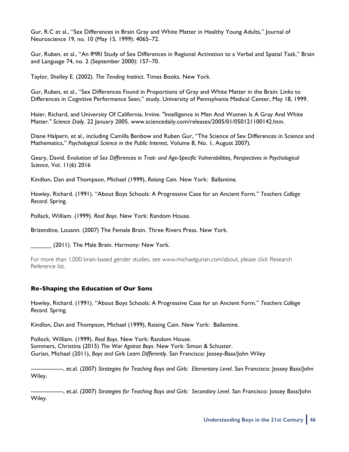Gur, R.C et al., "Sex Differences in Brain Gray and White Matter in Healthy Young Adults," Journal of Neuroscience 19, no. 10 (May 15, 1999): 4065–72.

Gur, Ruben, et al., "An fMRI Study of Sex Differences in Regional Activation to a Verbal and Spatial Task," Brain and Language 74, no. 2 (September 2000): 157–70.

Taylor, Shelley E. (2002). *The Tending Instinct*. Times Books. New York.

Gur, Ruben, et al., "Sex Differences Found in Proportions of Gray and White Matter in the Brain: Links to Differences in Cognitive Performance Seen," study, University of Pennsylvania Medical Center, May 18, 1999.

Haier, Richard, and University Of California, Irvine. "Intelligence in Men And Women Is A Gray And White Matter*." Science Daily*. 22 January 2005. www.sciencedaily.com/releases/2005/01/050121100142.htm.

Diane Halpern, et al., including Camilla Benbow and Ruben Gur, "The Science of Sex Differences in Science and Mathematics," *Psychological Science in the Public Interest*, Volume 8, No. 1, August 2007).

Geary, David. Evolution of *Sex Differences in Trait- and Age-Specific Vulnerabilities, Perspectives in Psychological Science*, Vol. 11(6) 2016

Kindlon, Dan and Thompson, Michael (1999), *Raising Cain*. New York: Ballantine.

Hawley, Richard. (1991). "About Boys Schools: A Progressive Case for an Ancient Form." *Teachers College Record.* Spring.

Pollack, William. (1999). *Real Boys*. New York: Random House.

Brizendine, Louann. (2007) The Female Brain. Three Rivers Press. New York.

(2011). The Male Brain. Harmony: New York.

For more than 1,000 brain-based gender studies, see www.michaelgurian.com/about, please click Research Reference list.

#### **Re-Shaping the Education of Our Sons**

Hawley, Richard. (1991). "About Boys Schools: A Progressive Case for an Ancient Form." *Teachers College Record.* Spring.

Kindlon, Dan and Thompson, Michael (1999), Raising Cain. New York: Ballantine.

Pollock, William. (1999). *Real Boys*. New York: Random House.

Sommers, Christina (2015) *The War Against Boys*. New York: Simon & Schuster. Gurian, Michael (2011), *Boys and Girls Learn Differently*. San Francisco: Jossey-Bass/John Wiley

----------------, et.al. (2007) *Strategies for Teaching Boys and Girls: Elementary Level*. San Francisco: Jossey Bass/John Wiley.

----------------, et.al. (2007) *Strategies for Teaching Boys and Girls: Secondary Level*. San Francisco: Jossey Bass/John Wiley.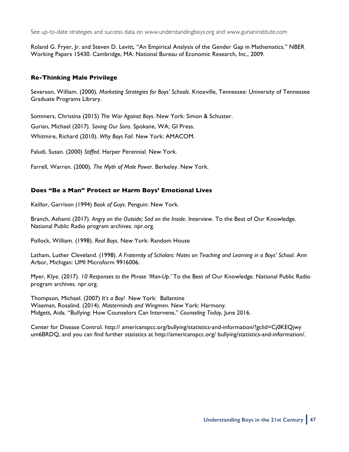See up-to-date strategies and success data on www.understandingboys.org and www.gurianinstitute.com

Roland G. Fryer, Jr. and Steven D. Levitt, "An Empirical Analysis of the Gender Gap in Mathematics." NBER Working Papers 15430. Cambridge, MA: National Bureau of Economic Research, Inc., 2009.

### **Re-Thinking Male Privilege**

Severson, William. (2000). *Marketing Strategies for Boys' Schools*. Knoxville, Tennessee: University of Tennessee Graduate Programs Library.

Sommers, Christina (2015) *The War Against Boys*. New York: Simon & Schuster.

Gurian, Michael (2017). *Saving Our Sons*. Spokane, WA; GI Press.

Whitmire, Richard (2010). *Why Boys Fail*. New York: AMACOM.

Faludi, Susan. (2000) *Stiffed*. Harper Perennial. New York.

Farrell, Warren. (2000). *The Myth of Male Power*. Berkeley. New York.

### **Does "Be a Man" Protect or Harm Boys' Emotional Lives**

Keillor, Garrison (1994) *Book of Guys*. Penguin: New York.

Branch, Ashanti (2017). *Angry on the Outside; Sad on the Inside*. Interview. To the Best of Our Knowledge. National Public Radio program archives. npr.org.

Pollock, William. (1998). *Real Boys*. New York: Random House

Latham, Luther Cleveland. (1998). *A Fraternity of Scholars: Notes on Teaching and Learning in a Boys' School*. Ann Arbor, Michigan: UMI Microform 9916006.

Myer, Klye. (2017). *10 Responses to the Phrase 'Man-Up.'* To the Best of Our Knowledge. National Public Radio program archives. npr.org.

Thompson, Michael. (2007) *It's a Boy!* New York: Ballantine Wiseman, Rosalind. (2014). *Masterminds and Wingmen.* New York: Harmony. Midgett, Aida. "Bullying: How Counselors Can Intervene," *Counseling Today*, June 2016.

Center for Disease Control. http:// americanspcc.org/bullying/statistics-and-information/?gclid=Cj0KEQjwy um6BRDQ, and you can find further statistics at http://americanspcc.org/ bullying/statistics-and-information/.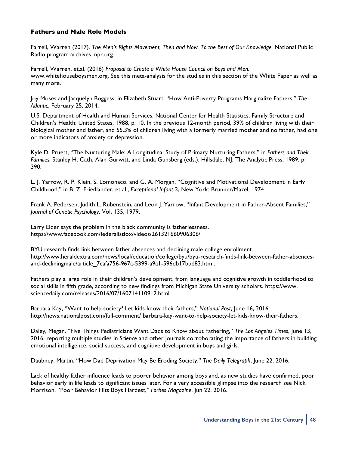### **Fathers and Male Role Models**

Farrell, Warren (2017). *The Men's Rights Movement, Then and Now. To the Best of Our Knowledge.* National Public Radio program archives. npr.org.

Farrell, Warren, et.al. (2016) *Proposal to Create a White House Council on Boys and Men.*  www.whitehouseboysmen.org. See this meta-analysis for the studies in this section of the White Paper as well as many more.

Joy Moses and Jacquelyn Boggess, in Elizabeth Stuart, "How Anti-Poverty Programs Marginalize Fathers," *The Atlantic*, February 25, 2014.

U.S. Department of Health and Human Services, National Center for Health Statistics. Family Structure and Children's Health: United States, 1988, p. 10. In the previous 12-month period, 39% of children living with their biological mother and father, and 55.3% of children living with a formerly married mother and no father, had one or more indicators of anxiety or depression.

Kyle D. Pruett, "The Nurturing Male: A Longitudinal Study of Primary Nurturing Fathers," in *Fathers and Their Families.* Stanley H. Cath, Alan Gurwitt, and Linda Gunsberg (eds.). Hillsdale, NJ: The Analytic Press, 1989, p. 390.

L. J. Yarrow, R. P. Klein, S. Lomonaco, and G. A. Morgan, "Cognitive and Motivational Development in Early Childhood," in B. Z. Friedlander, et al., *Exceptional Infant* 3, New York: Brunner/Mazel, 1974

Frank A. Pedersen, Judith L. Rubenstein, and Leon J. Yarrow, "Infant Development in Father-Absent Families," *Journal of Genetic Psychology*, Vol. 135, 1979.

Larry Elder says the problem in the black community is fatherlessness. https://www.facebook.com/federalistfox/videos/261321660906306/

BYU research finds link between father absences and declining male college enrollment. http://www.heraldextra.com/news/local/education/college/byu/byu-research-finds-link-between-father-absencesand-decliningmale/article\_7cafa756-967a-5399-a9a1-596db17bbd83.html.

Fathers play a large role in their children's development, from language and cognitive growth in toddlerhood to social skills in fifth grade, according to new findings from Michigan State University scholars. https://www. sciencedaily.com/releases/2016/07/160714110912.html.

Barbara Kay, "Want to help society? Let kids know their fathers," *National Post*, June 16, 2016 http://news.nationalpost.com/full-comment/ barbara-kay-want-to-help-society-let-kids-know-their-fathers.

Daley, Megan. "Five Things Pediatricians Want Dads to Know about Fathering," *The Los Angeles Times*, June 13, 2016, reporting multiple studies in *Science* and other journals corroborating the importance of fathers in building emotional intelligence, social success, and cognitive development in boys and girls.

Daubney, Martin. "How Dad Deprivation May Be Eroding Society," *The Daily Telegraph*, June 22, 2016.

Lack of healthy father influence leads to poorer behavior among boys and, as new studies have confirmed, poor behavior early in life leads to significant issues later. For a very accessible glimpse into the research see Nick Morrison, "Poor Behavior Hits Boys Hardest," *Forbes Magazine*, Jun 22, 2016.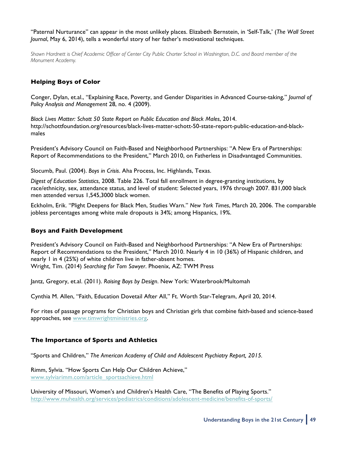"Paternal Nurturance" can appear in the most unlikely places. Elizabeth Bernstein, in 'Self-Talk,' (*The Wall Street Journal*, May 6, 2014), tells a wonderful story of her father's motivational techniques.

*Shawn Hardnett is Chief Academic Officer of Center City Public Charter School in Washington, D.C. and Board member of the Monument Academy.* 

### **Helping Boys of Color**

Conger, Dylan, et.al., "Explaining Race, Poverty, and Gender Disparities in Advanced Course-taking," *Journal of Policy Analysis and Management* 28, no. 4 (2009).

*Black Lives Matter: Schott 50 State Report on Public Education and Black Males*, 2014. http://schottfoundation.org/resources/black-lives-matter-schott-50-state-report-public-education-and-blackmales

President's Advisory Council on Faith-Based and Neighborhood Partnerships: "A New Era of Partnerships: Report of Recommendations to the President," March 2010, on Fatherless in Disadvantaged Communities.

Slocumb, Paul. (2004). *Boys in Crisis*. Aha Process, Inc. Highlands, Texas.

*Digest of Education Statistics*, 2008. Table 226. Total fall enrollment in degree-granting institutions, by race/ethnicity, sex, attendance status, and level of student: Selected years, 1976 through 2007. 831,000 black men attended versus 1,545,3000 black women.

Eckholm, Erik. "Plight Deepens for Black Men, Studies Warn." *New York Times*, March 20, 2006. The comparable jobless percentages among white male dropouts is 34%; among Hispanics, 19%.

### **Boys and Faith Development**

President's Advisory Council on Faith-Based and Neighborhood Partnerships: "A New Era of Partnerships: Report of Recommendations to the President," March 2010. Nearly 4 in 10 (36%) of Hispanic children, and nearly 1 in 4 (25%) of white children live in father-absent homes. Wright, Tim. (2014) *Searching for Tom Sawyer*. Phoenix, AZ: TWM Press

Jantz, Gregory, et.al. (2011). *Raising Boys by Design*. New York: Waterbrook/Multomah

Cynthia M. Allen, "Faith, Education Dovetail After All," Ft. Worth Star-Telegram, April 20, 2014.

For rites of passage programs for Christian boys and Christian girls that combine faith-based and science-based approaches, see [www.timwrightministries.org.](http://www.timwrightministries.org)

### **The Importance of Sports and Athletics**

"Sports and Children," *The American Academy of Child and Adolescent Psychiatry Report, 2015.*

Rimm, Sylvia. "How Sports Can Help Our Children Achieve," [www.sylviarimm.com/article\\_sportsachieve.html](http://www.sylviarimm.com/article_sportsachieve.html)

University of Missouri, Women's and Children's Health Care, "The Benefits of Playing Sports." <http://www.muhealth.org/services/pediatrics/conditions/adolescent-medicine/benefits-of-sports/>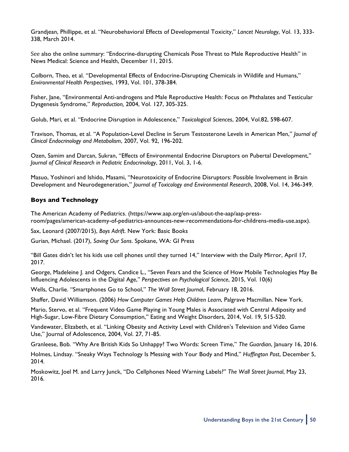Grandjean, Phillippe, et al. "Neurobehavioral Effects of Developmental Toxicity," *Lancet Neurology*, Vol. 13, 333- 338, March 2014.

See also the online summary: "Endocrine-disrupting Chemicals Pose Threat to Male Reproductive Health" in News Medical: Science and Health, December 11, 2015.

Colborn, Theo, et al. "Developmental Effects of Endocrine-Disrupting Chemicals in Wildlife and Humans," *Environmental Health Perspectives*, 1993, Vol. 101, 378-384.

Fisher, Jane, "Environmental Anti-androgens and Male Reproductive Health: Focus on Phthalates and Testicular Dysgenesis Syndrome," *Reproduction,* 2004, Vol. 127, 305-325.

Golub, Mari, et al. "Endocrine Disruption in Adolescence," *Toxicological Sciences*, 2004, Vol.82, 598-607.

Travison, Thomas, et al. "A Population-Level Decline in Serum Testosterone Levels in American Men," *Journal of Clinical Endocrinology and Metabolism*, 2007, Vol. 92, 196-202.

Ozen, Samim and Darcan, Sukran, "Effects of Environmental Endocrine Disruptors on Pubertal Development," *Journal of Clinical Research in Pediatric Endocrinology*, 2011, Vol. 3, 1-6.

Masuo, Yoshinori and Ishido, Masami, "Neurotoxicity of Endocrine Disruptors: Possible Involvement in Brain Development and Neurodegeneration," *Journal of Toxicology and Environmental Research*, 2008, Vol. 14, 346-349.

### **Boys and Technology**

The American Academy of Pediatrics. (https://www.aap.org/en-us/about-the-aap/aap-pressroom/pages/american-academy-of-pediatrics-announces-new-recommendations-for-childrens-media-use.aspx).

Sax, Leonard (2007/2015), *Boys Adrift*. New York: Basic Books

Gurian, Michael. (2017), *Saving Our Sons*. Spokane, WA: GI Press

"Bill Gates didn't let his kids use cell phones until they turned 14," Interview with the Daily Mirror, April 17, 2017.

George, Madeleine J. and Odgers, Candice L., "Seven Fears and the Science of How Mobile Technologies May Be Influencing Adolescents in the Digital Age," *Perspectives on Psychological Science*, 2015, Vol. 10(6)

Wells, Charlie. "Smartphones Go to School," *The Wall Street Journa*l, February 18, 2016.

Shaffer, David Williamson. (2006) *How Computer Games Help Children Learn*, Palgrave Macmillan. New York.

Mario, Stervo, et al. "Frequent Video Game Playing in Young Males is Associated with Central Adiposity and High-Sugar, Low-Fibre Dietary Consumption," Eating and Weight Disorders, 2014, Vol. 19, 515-520.

Vandewater, Elizabeth, et al. "Linking Obesity and Activity Level with Children's Television and Video Game Use," Journal of Adolescence, 2004, Vol. 27, 71-85.

Granleese, Bob. "Why Are British Kids So Unhappy? Two Words: Screen Time," *The Guardian*, January 16, 2016.

Holmes, Lindsay. "Sneaky Ways Technology Is Messing with Your Body and Mind," *Huffington Post*, December 5, 2014.

Moskowitz, Joel M. and Larry Junck, "Do Cellphones Need Warning Labels?" *The Wall Street Journal*, May 23, 2016.